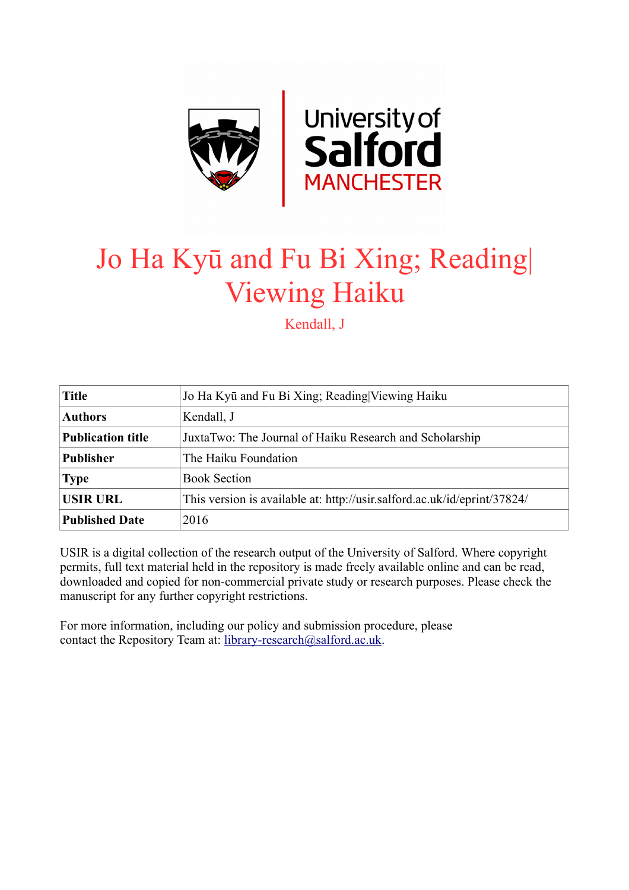

Kendall, J

| <b>Title</b>                                                                                | Jo Ha Kyū and Fu Bi Xing; Reading Viewing Haiku |  |  |  |
|---------------------------------------------------------------------------------------------|-------------------------------------------------|--|--|--|
| <b>Authors</b>                                                                              | Kendall, J                                      |  |  |  |
| <b>Publication title</b><br>JuxtaTwo: The Journal of Haiku Research and Scholarship         |                                                 |  |  |  |
| <b>Publisher</b>                                                                            | The Haiku Foundation                            |  |  |  |
| <b>Type</b>                                                                                 | <b>Book Section</b>                             |  |  |  |
| <b>USIR URL</b><br>This version is available at: http://usir.salford.ac.uk/id/eprint/37824/ |                                                 |  |  |  |
| <b>Published Date</b>                                                                       | 2016                                            |  |  |  |

USIR is a digital collection of the research output of the University of Salford. Where copyright permits, full text material held in the repository is made freely available online and can be read, downloaded and copied for non-commercial private study or research purposes. Please check the manuscript for any further copyright restrictions.

For more information, including our policy and submission procedure, please contact the Repository Team at: [library-research@salford.ac.uk.](mailto:library-research@salford.ac.uk)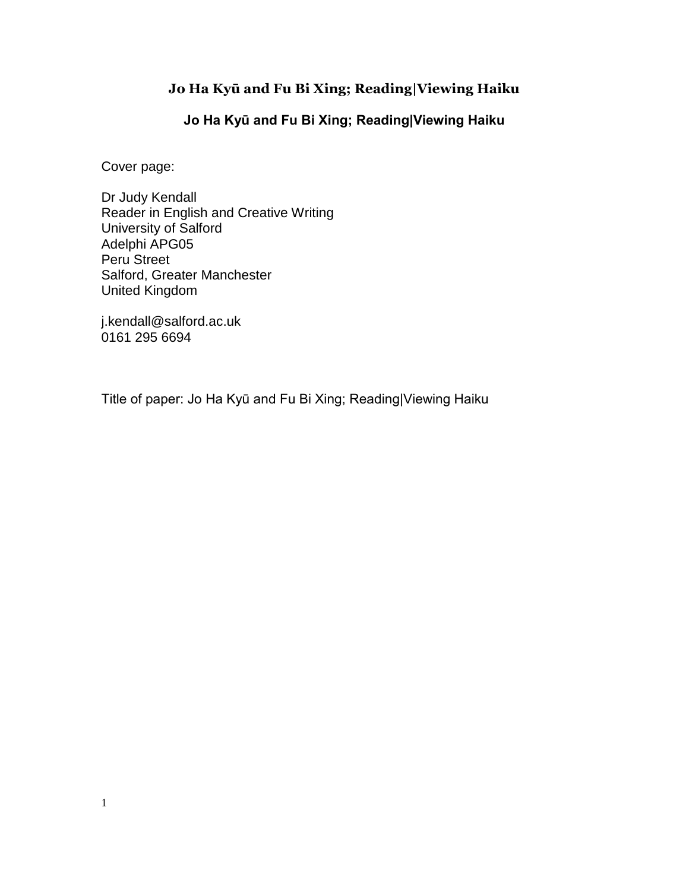# **Jo Ha Kyū and Fu Bi Xing; Reading|Viewing Haiku**

Cover page:

Dr Judy Kendall Reader in English and Creative Writing University of Salford Adelphi APG05 Peru Street Salford, Greater Manchester United Kingdom

[j.kendall@salford.ac.uk](mailto:j.kendall@salford.ac.uk) 0161 295 6694

Title of paper: Jo Ha Kyū and Fu Bi Xing; Reading|Viewing Haiku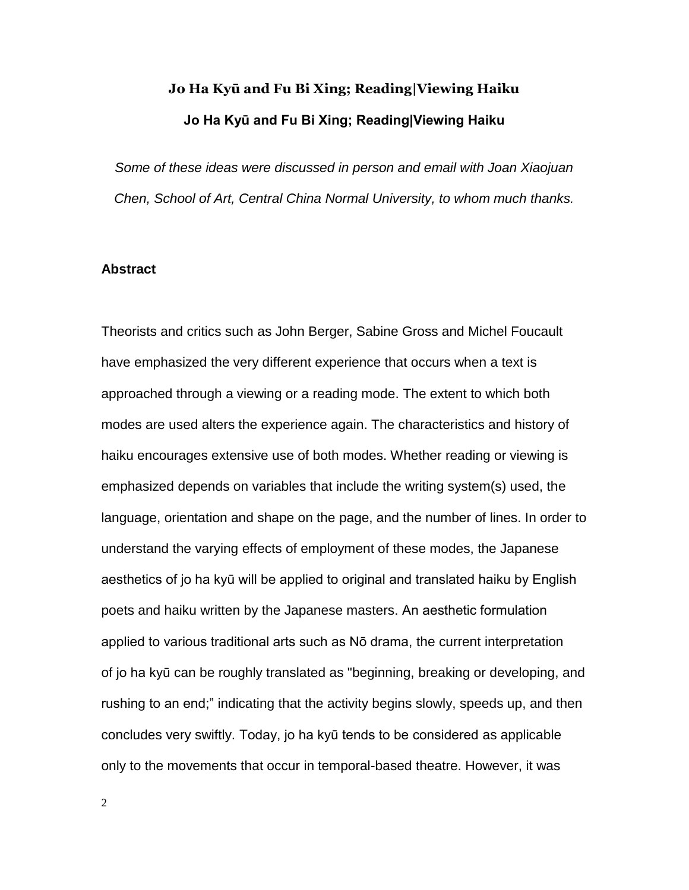# **Jo Ha Kyū and Fu Bi Xing; Reading|Viewing Haiku Jo Ha Kyū and Fu Bi Xing; Reading|Viewing Haiku**

*Some of these ideas were discussed in person and email with Joan Xiaojuan Chen, School of Art, Central China Normal University, to whom much thanks.*

# **Abstract**

Theorists and critics such as John Berger, Sabine Gross and Michel Foucault have emphasized the very different experience that occurs when a text is approached through a viewing or a reading mode. The extent to which both modes are used alters the experience again. The characteristics and history of haiku encourages extensive use of both modes. Whether reading or viewing is emphasized depends on variables that include the writing system(s) used, the language, orientation and shape on the page, and the number of lines. In order to understand the varying effects of employment of these modes, the Japanese aesthetics of jo ha kyū will be applied to original and translated haiku by English poets and haiku written by the Japanese masters. An aesthetic formulation applied to various traditional arts such as Nō drama, the current interpretation of jo ha kyū can be roughly translated as "beginning, breaking or developing, and rushing to an end;" indicating that the activity begins slowly, speeds up, and then concludes very swiftly. Today, jo ha kyū tends to be considered as applicable only to the movements that occur in temporal-based theatre. However, it was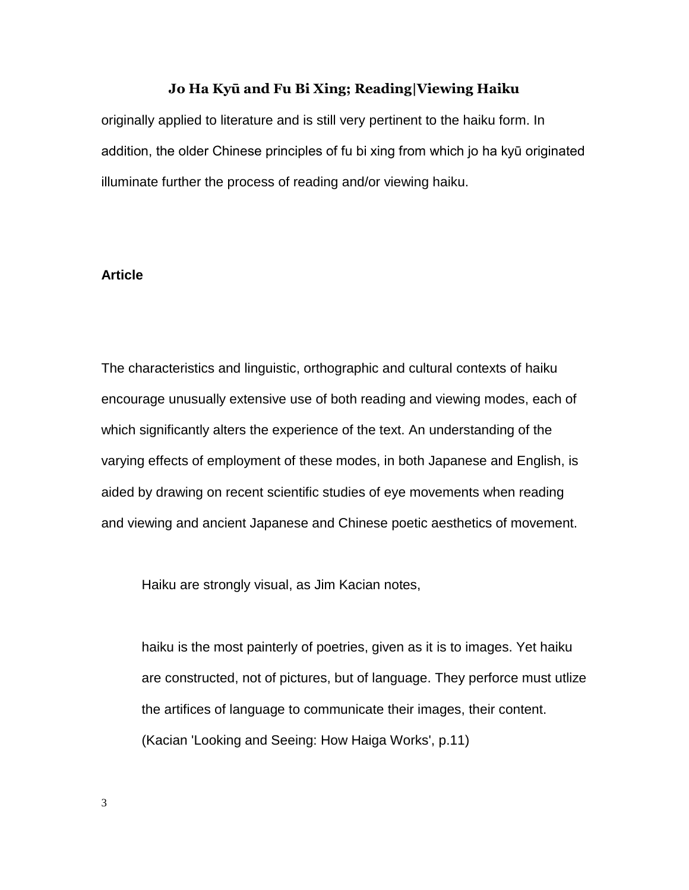originally applied to literature and is still very pertinent to the haiku form. In addition, the older Chinese principles of fu bi xing from which jo ha kyū originated illuminate further the process of reading and/or viewing haiku.

# **Article**

The characteristics and linguistic, orthographic and cultural contexts of haiku encourage unusually extensive use of both reading and viewing modes, each of which significantly alters the experience of the text. An understanding of the varying effects of employment of these modes, in both Japanese and English, is aided by drawing on recent scientific studies of eye movements when reading and viewing and ancient Japanese and Chinese poetic aesthetics of movement.

Haiku are strongly visual, as Jim Kacian notes,

haiku is the most painterly of poetries, given as it is to images. Yet haiku are constructed, not of pictures, but of language. They perforce must utlize the artifices of language to communicate their images, their content. (Kacian 'Looking and Seeing: How Haiga Works', p.11)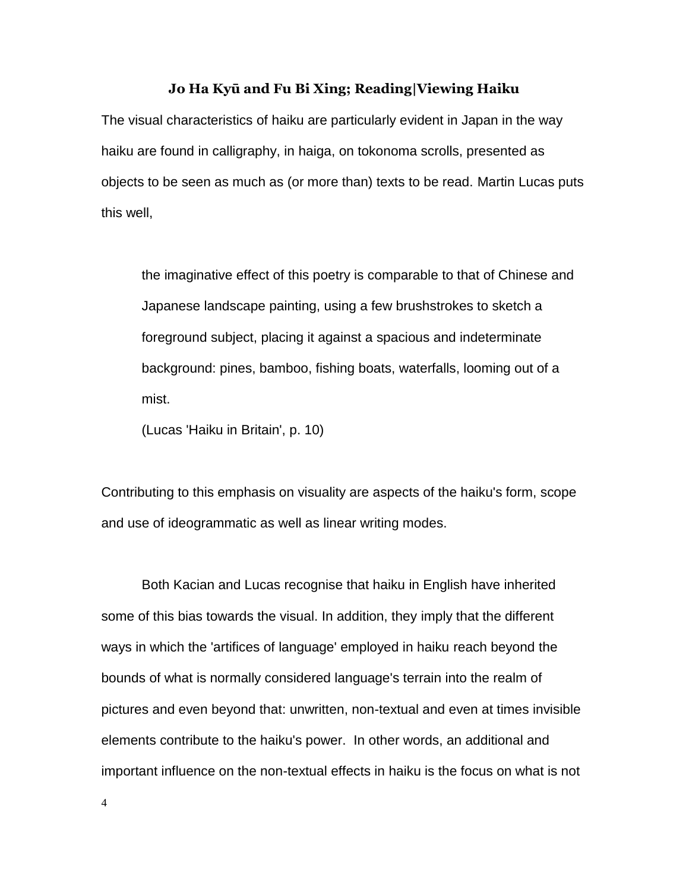The visual characteristics of haiku are particularly evident in Japan in the way haiku are found in calligraphy, in haiga, on tokonoma scrolls, presented as objects to be seen as much as (or more than) texts to be read. Martin Lucas puts this well,

the imaginative effect of this poetry is comparable to that of Chinese and Japanese landscape painting, using a few brushstrokes to sketch a foreground subject, placing it against a spacious and indeterminate background: pines, bamboo, fishing boats, waterfalls, looming out of a mist.

(Lucas 'Haiku in Britain', p. 10)

Contributing to this emphasis on visuality are aspects of the haiku's form, scope and use of ideogrammatic as well as linear writing modes.

Both Kacian and Lucas recognise that haiku in English have inherited some of this bias towards the visual. In addition, they imply that the different ways in which the 'artifices of language' employed in haiku reach beyond the bounds of what is normally considered language's terrain into the realm of pictures and even beyond that: unwritten, non-textual and even at times invisible elements contribute to the haiku's power. In other words, an additional and important influence on the non-textual effects in haiku is the focus on what is not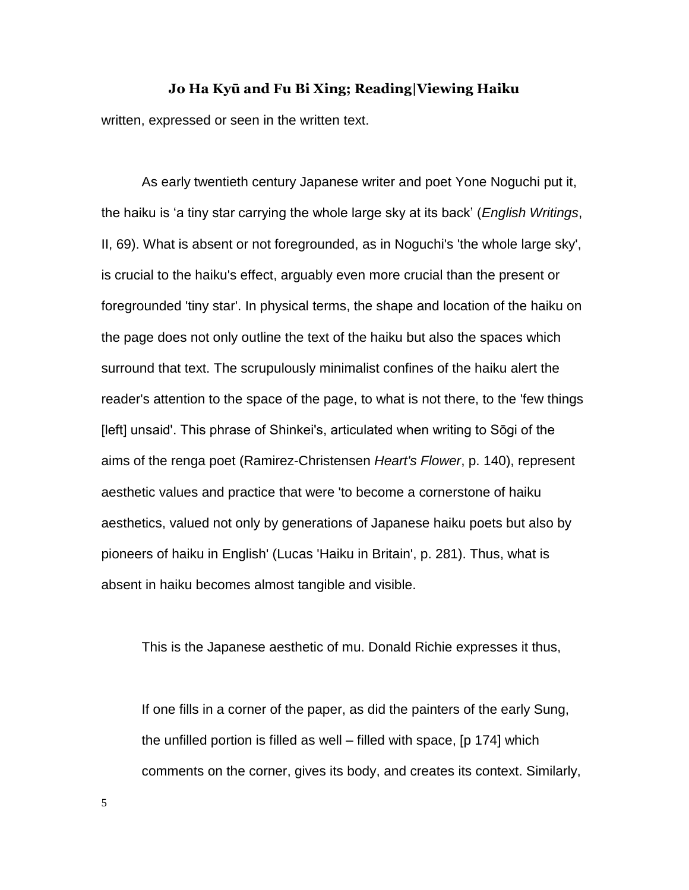written, expressed or seen in the written text.

As early twentieth century Japanese writer and poet Yone Noguchi put it, the haiku is 'a tiny star carrying the whole large sky at its back' (*English Writings*, II, 69). What is absent or not foregrounded, as in Noguchi's 'the whole large sky', is crucial to the haiku's effect, arguably even more crucial than the present or foregrounded 'tiny star'. In physical terms, the shape and location of the haiku on the page does not only outline the text of the haiku but also the spaces which surround that text. The scrupulously minimalist confines of the haiku alert the reader's attention to the space of the page, to what is not there, to the 'few things [left] unsaid'. This phrase of Shinkei's, articulated when writing to Sōgi of the aims of the renga poet (Ramirez-Christensen *Heart's Flower*, p. 140), represent aesthetic values and practice that were 'to become a cornerstone of haiku aesthetics, valued not only by generations of Japanese haiku poets but also by pioneers of haiku in English' (Lucas 'Haiku in Britain', p. 281). Thus, what is absent in haiku becomes almost tangible and visible.

This is the Japanese aesthetic of mu. Donald Richie expresses it thus,

If one fills in a corner of the paper, as did the painters of the early Sung, the unfilled portion is filled as well – filled with space, [p 174] which comments on the corner, gives its body, and creates its context. Similarly,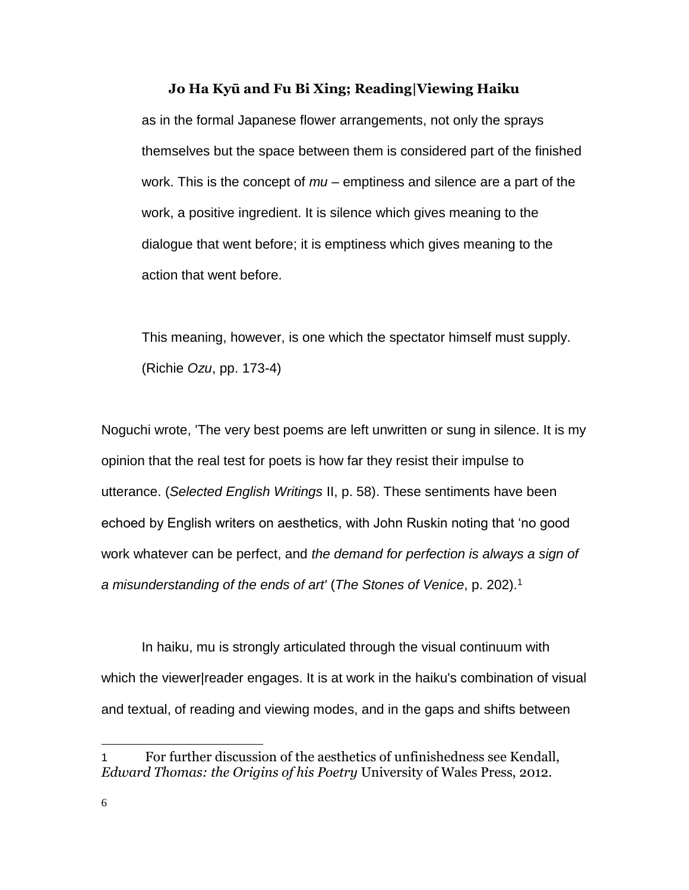as in the formal Japanese flower arrangements, not only the sprays themselves but the space between them is considered part of the finished work. This is the concept of *mu –* emptiness and silence are a part of the work, a positive ingredient. It is silence which gives meaning to the dialogue that went before; it is emptiness which gives meaning to the action that went before.

This meaning, however, is one which the spectator himself must supply. (Richie *Ozu*, pp. 173-4)

Noguchi wrote, 'The very best poems are left unwritten or sung in silence. It is my opinion that the real test for poets is how far they resist their impulse to utterance. (*Selected English Writings* II, p. 58). These sentiments have been echoed by English writers on aesthetics, with John Ruskin noting that 'no good work whatever can be perfect, and *the demand for perfection is always a sign of a misunderstanding of the ends of art'* (*The Stones of Venice*, p. 202).<sup>1</sup>

In haiku, mu is strongly articulated through the visual continuum with which the viewer|reader engages. It is at work in the haiku's combination of visual and textual, of reading and viewing modes, and in the gaps and shifts between

l

<sup>1</sup> For further discussion of the aesthetics of unfinishedness see Kendall, *Edward Thomas: the Origins of his Poetry* University of Wales Press, 2012.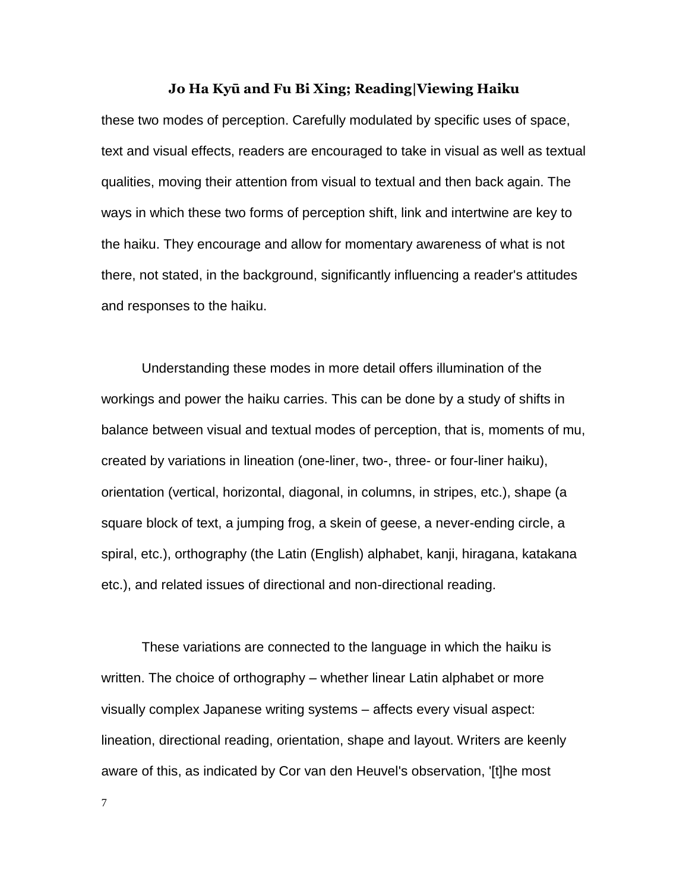these two modes of perception. Carefully modulated by specific uses of space, text and visual effects, readers are encouraged to take in visual as well as textual qualities, moving their attention from visual to textual and then back again. The ways in which these two forms of perception shift, link and intertwine are key to the haiku. They encourage and allow for momentary awareness of what is not there, not stated, in the background, significantly influencing a reader's attitudes and responses to the haiku.

Understanding these modes in more detail offers illumination of the workings and power the haiku carries. This can be done by a study of shifts in balance between visual and textual modes of perception, that is, moments of mu, created by variations in lineation (one-liner, two-, three- or four-liner haiku), orientation (vertical, horizontal, diagonal, in columns, in stripes, etc.), shape (a square block of text, a jumping frog, a skein of geese, a never-ending circle, a spiral, etc.), orthography (the Latin (English) alphabet, kanji, hiragana, katakana etc.), and related issues of directional and non-directional reading.

These variations are connected to the language in which the haiku is written. The choice of orthography – whether linear Latin alphabet or more visually complex Japanese writing systems – affects every visual aspect: lineation, directional reading, orientation, shape and layout. Writers are keenly aware of this, as indicated by Cor van den Heuvel's observation, '[t]he most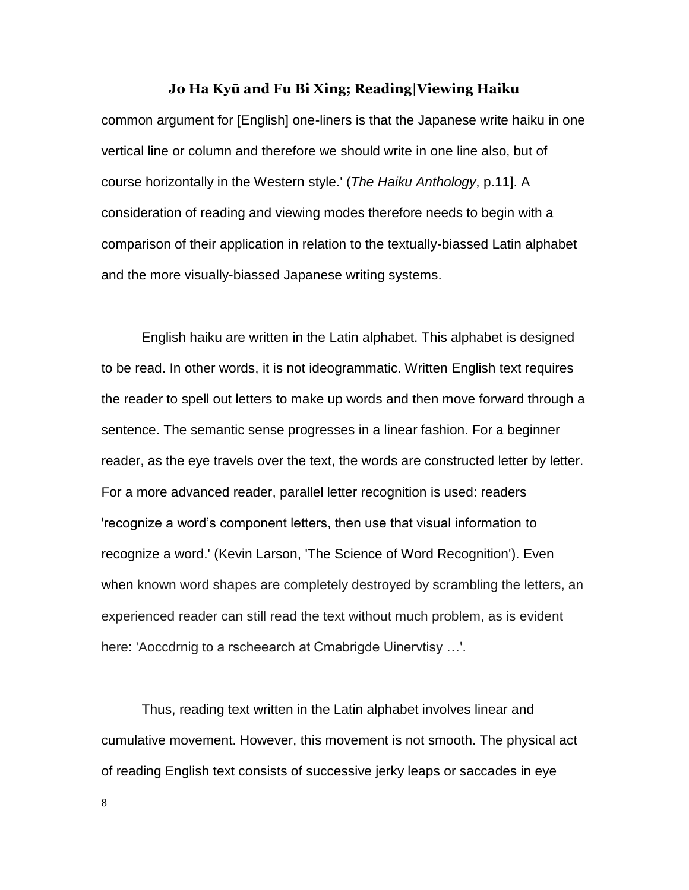common argument for [English] one-liners is that the Japanese write haiku in one vertical line or column and therefore we should write in one line also, but of course horizontally in the Western style.' (*The Haiku Anthology*, p.11]. A consideration of reading and viewing modes therefore needs to begin with a comparison of their application in relation to the textually-biassed Latin alphabet and the more visually-biassed Japanese writing systems.

English haiku are written in the Latin alphabet. This alphabet is designed to be read. In other words, it is not ideogrammatic. Written English text requires the reader to spell out letters to make up words and then move forward through a sentence. The semantic sense progresses in a linear fashion. For a beginner reader, as the eye travels over the text, the words are constructed letter by letter. For a more advanced reader, parallel letter recognition is used: readers 'recognize a word's component letters, then use that visual information to recognize a word.' (Kevin Larson, 'The Science of Word Recognition'). Even when known word shapes are completely destroyed by scrambling the letters, an experienced reader can still read the text without much problem, as is evident here: 'Aoccdrnig to a rscheearch at Cmabrigde Uinervtisy …'.

Thus, reading text written in the Latin alphabet involves linear and cumulative movement. However, this movement is not smooth. The physical act of reading English text consists of successive jerky leaps or saccades in eye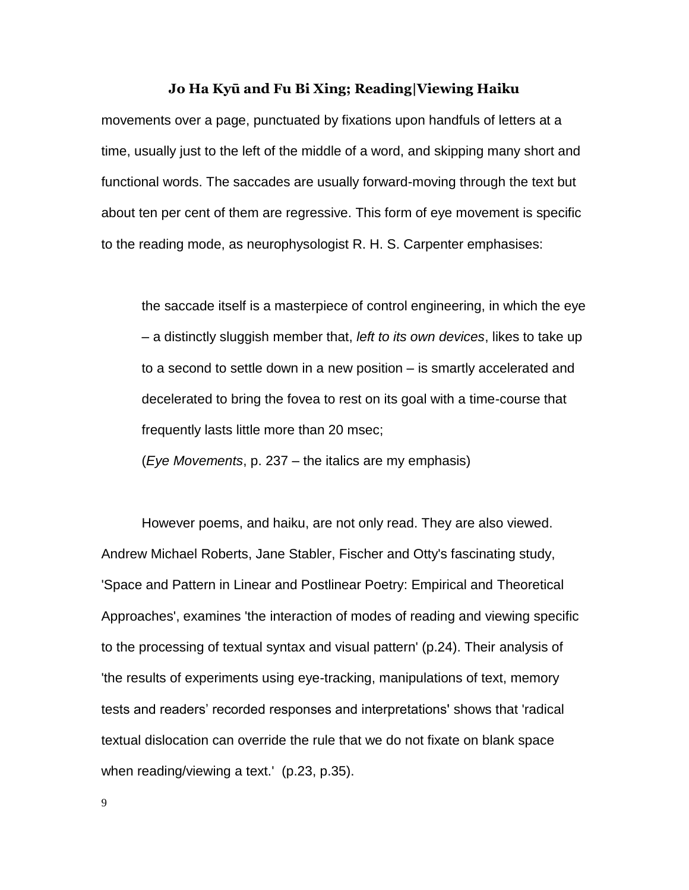movements over a page, punctuated by fixations upon handfuls of letters at a time, usually just to the left of the middle of a word, and skipping many short and functional words. The saccades are usually forward-moving through the text but about ten per cent of them are regressive. This form of eye movement is specific to the reading mode, as neurophysologist R. H. S. Carpenter emphasises:

the saccade itself is a masterpiece of control engineering, in which the eye – a distinctly sluggish member that, *left to its own devices*, likes to take up to a second to settle down in a new position – is smartly accelerated and decelerated to bring the fovea to rest on its goal with a time-course that frequently lasts little more than 20 msec;

(*Eye Movements*, p. 237 – the italics are my emphasis)

However poems, and haiku, are not only read. They are also viewed. Andrew Michael Roberts, Jane Stabler, Fischer and Otty's fascinating study, 'Space and Pattern in Linear and Postlinear Poetry: Empirical and Theoretical Approaches', examines 'the interaction of modes of reading and viewing specific to the processing of textual syntax and visual pattern' (p.24). Their analysis of 'the results of experiments using eye-tracking, manipulations of text, memory tests and readers' recorded responses and interpretations' shows that 'radical textual dislocation can override the rule that we do not fixate on blank space when reading/viewing a text.' (p.23, p.35).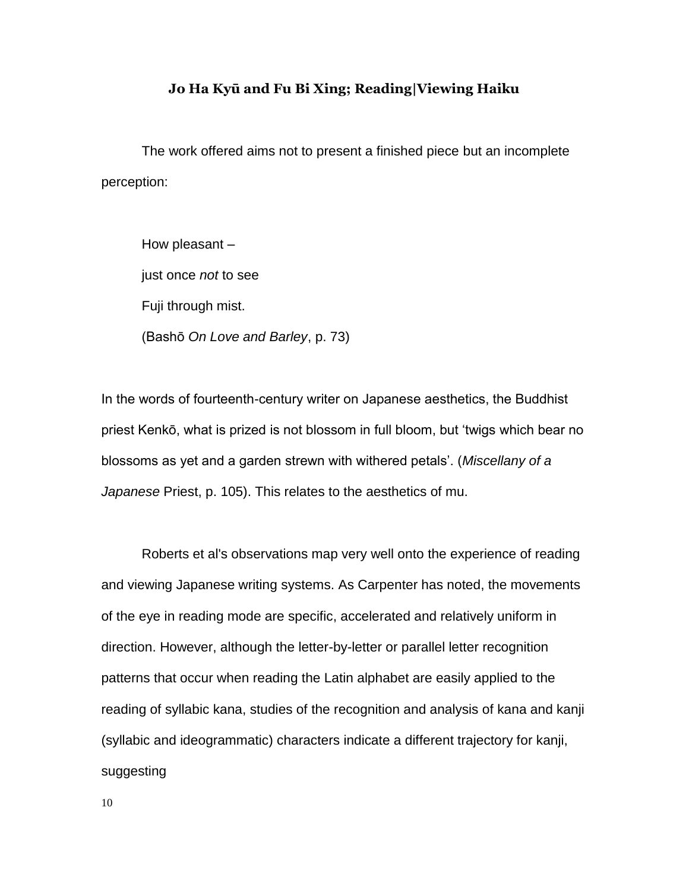The work offered aims not to present a finished piece but an incomplete perception:

How pleasant – just once *not* to see Fuji through mist. (Bashō *On Love and Barley*, p. 73)

In the words of fourteenth-century writer on Japanese aesthetics, the Buddhist priest Kenkō, what is prized is not blossom in full bloom, but 'twigs which bear no blossoms as yet and a garden strewn with withered petals'. (*Miscellany of a Japanese* Priest, p. 105). This relates to the aesthetics of mu.

Roberts et al's observations map very well onto the experience of reading and viewing Japanese writing systems. As Carpenter has noted, the movements of the eye in reading mode are specific, accelerated and relatively uniform in direction. However, although the letter-by-letter or parallel letter recognition patterns that occur when reading the Latin alphabet are easily applied to the reading of syllabic kana, studies of the recognition and analysis of kana and kanji (syllabic and ideogrammatic) characters indicate a different trajectory for kanji, suggesting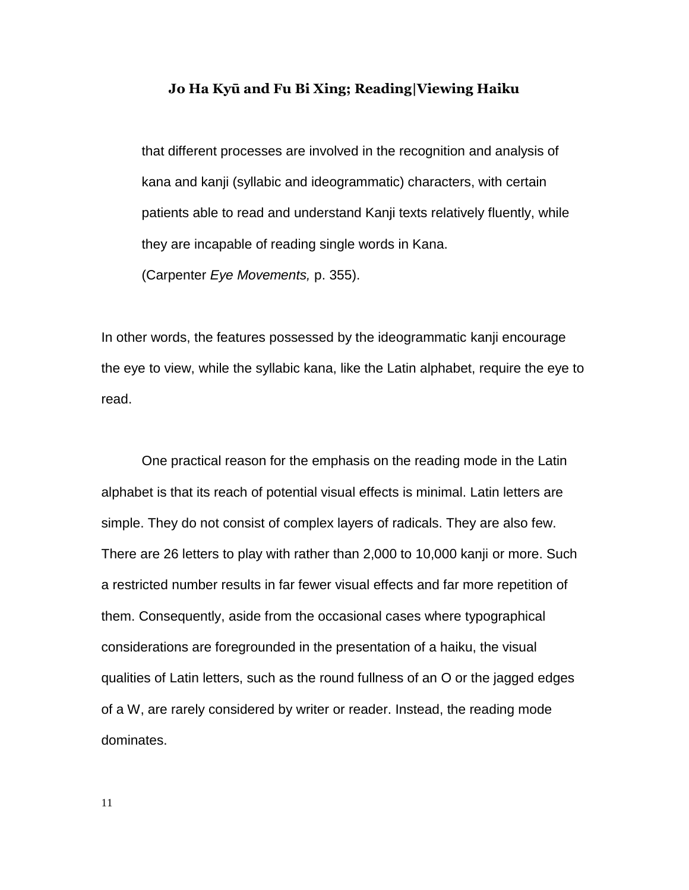that different processes are involved in the recognition and analysis of kana and kanji (syllabic and ideogrammatic) characters, with certain patients able to read and understand Kanji texts relatively fluently, while they are incapable of reading single words in Kana. (Carpenter *Eye Movements,* p. 355).

In other words, the features possessed by the ideogrammatic kanji encourage the eye to view, while the syllabic kana, like the Latin alphabet, require the eye to read.

One practical reason for the emphasis on the reading mode in the Latin alphabet is that its reach of potential visual effects is minimal. Latin letters are simple. They do not consist of complex layers of radicals. They are also few. There are 26 letters to play with rather than 2,000 to 10,000 kanji or more. Such a restricted number results in far fewer visual effects and far more repetition of them. Consequently, aside from the occasional cases where typographical considerations are foregrounded in the presentation of a haiku, the visual qualities of Latin letters, such as the round fullness of an O or the jagged edges of a W, are rarely considered by writer or reader. Instead, the reading mode dominates.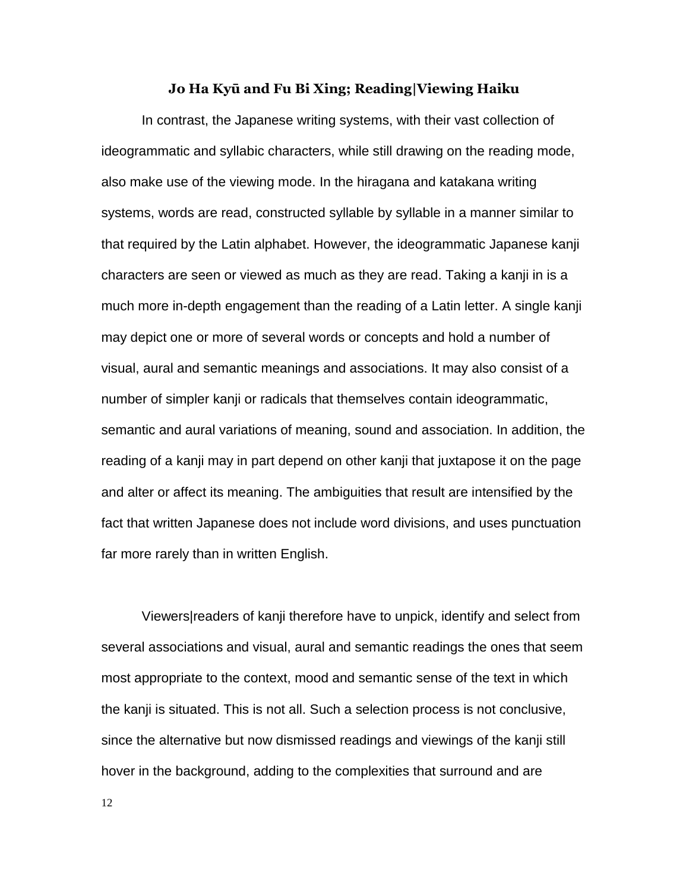In contrast, the Japanese writing systems, with their vast collection of ideogrammatic and syllabic characters, while still drawing on the reading mode, also make use of the viewing mode. In the hiragana and katakana writing systems, words are read, constructed syllable by syllable in a manner similar to that required by the Latin alphabet. However, the ideogrammatic Japanese kanji characters are seen or viewed as much as they are read. Taking a kanji in is a much more in-depth engagement than the reading of a Latin letter. A single kanji may depict one or more of several words or concepts and hold a number of visual, aural and semantic meanings and associations. It may also consist of a number of simpler kanji or radicals that themselves contain ideogrammatic, semantic and aural variations of meaning, sound and association. In addition, the reading of a kanji may in part depend on other kanji that juxtapose it on the page and alter or affect its meaning. The ambiguities that result are intensified by the fact that written Japanese does not include word divisions, and uses punctuation far more rarely than in written English.

Viewers|readers of kanji therefore have to unpick, identify and select from several associations and visual, aural and semantic readings the ones that seem most appropriate to the context, mood and semantic sense of the text in which the kanji is situated. This is not all. Such a selection process is not conclusive, since the alternative but now dismissed readings and viewings of the kanji still hover in the background, adding to the complexities that surround and are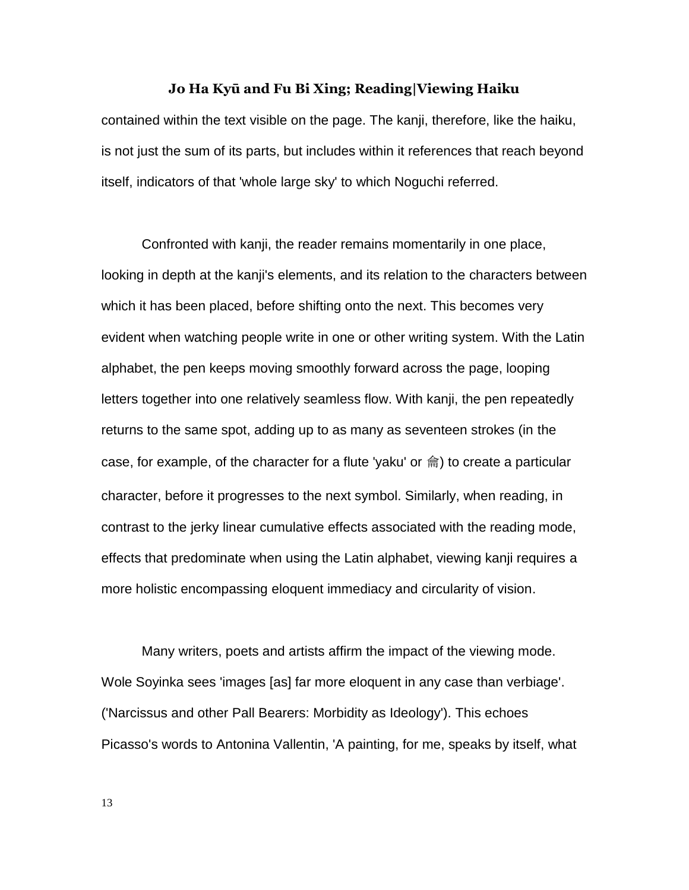contained within the text visible on the page. The kanji, therefore, like the haiku, is not just the sum of its parts, but includes within it references that reach beyond itself, indicators of that 'whole large sky' to which Noguchi referred.

Confronted with kanji, the reader remains momentarily in one place, looking in depth at the kanji's elements, and its relation to the characters between which it has been placed, before shifting onto the next. This becomes very evident when watching people write in one or other writing system. With the Latin alphabet, the pen keeps moving smoothly forward across the page, looping letters together into one relatively seamless flow. With kanji, the pen repeatedly returns to the same spot, adding up to as many as seventeen strokes (in the case, for example, of the character for a flute 'yaku' or 龠) to create a particular character, before it progresses to the next symbol. Similarly, when reading, in contrast to the jerky linear cumulative effects associated with the reading mode, effects that predominate when using the Latin alphabet, viewing kanji requires a more holistic encompassing eloquent immediacy and circularity of vision.

Many writers, poets and artists affirm the impact of the viewing mode. Wole Soyinka sees 'images [as] far more eloquent in any case than verbiage'. ('Narcissus and other Pall Bearers: Morbidity as Ideology'). This echoes Picasso's words to Antonina Vallentin, 'A painting, for me, speaks by itself, what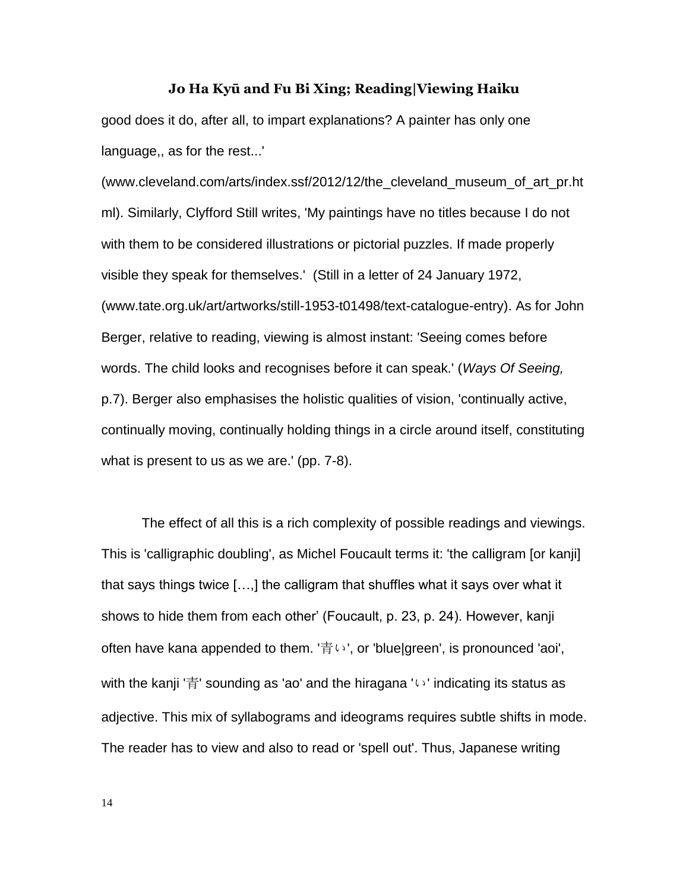good does it do, after all, to impart explanations? A painter has only one language,, as for the rest...'

[\(www.cleveland.com/arts/index.ssf/2012/12/the\\_cleveland\\_museum\\_of\\_art\\_pr.ht](http://www.cleveland.com/arts/index.ssf/2012/12/the_cleveland_museum_of_art_pr.html) [ml\)](http://www.cleveland.com/arts/index.ssf/2012/12/the_cleveland_museum_of_art_pr.html). Similarly, Clyfford Still writes, 'My paintings have no titles because I do not with them to be considered illustrations or pictorial puzzles. If made properly visible they speak for themselves.' (Still in a letter of 24 January 1972, [\(www.tate.org.uk/art/artworks/still-1953-t01498/text-catalogue-entry\)](http://www.tate.org.uk/art/artworks/still-1953-t01498/text-catalogue-entry). As for John Berger, relative to reading, viewing is almost instant: 'Seeing comes before words. The child looks and recognises before it can speak.' (*Ways Of Seeing,*  p.7). Berger also emphasises the holistic qualities of vision, 'continually active, continually moving, continually holding things in a circle around itself, constituting what is present to us as we are.' (pp. 7-8).

The effect of all this is a rich complexity of possible readings and viewings. This is 'calligraphic doubling', as Michel Foucault terms it: 'the calligram [or kanji] that says things twice […,] the calligram that shuffles what it says over what it shows to hide them from each other' (Foucault, p. 23, p. 24). However, kanji often have kana appended to them. '青い', or 'blue|green', is pronounced 'aoi', with the kanji '青' sounding as 'ao' and the hiragana 'い' indicating its status as adjective. This mix of syllabograms and ideograms requires subtle shifts in mode. The reader has to view and also to read or 'spell out'. Thus, Japanese writing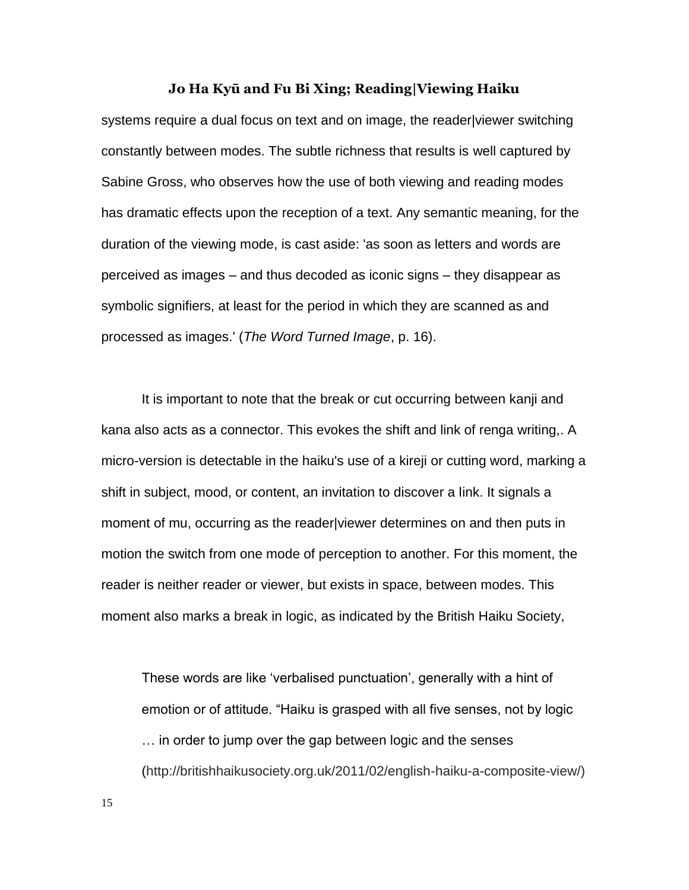systems require a dual focus on text and on image, the reader|viewer switching constantly between modes. The subtle richness that results is well captured by Sabine Gross, who observes how the use of both viewing and reading modes has dramatic effects upon the reception of a text. Any semantic meaning, for the duration of the viewing mode, is cast aside: 'as soon as letters and words are perceived as images – and thus decoded as iconic signs – they disappear as symbolic signifiers, at least for the period in which they are scanned as and processed as images.' (*The Word Turned Image*, p. 16).

It is important to note that the break or cut occurring between kanji and kana also acts as a connector. This evokes the shift and link of renga writing,. A micro-version is detectable in the haiku's use of a kireji or cutting word, marking a shift in subject, mood, or content, an invitation to discover a link. It signals a moment of mu, occurring as the reader|viewer determines on and then puts in motion the switch from one mode of perception to another. For this moment, the reader is neither reader or viewer, but exists in space, between modes. This moment also marks a break in logic, as indicated by the British Haiku Society,

These words are like 'verbalised punctuation', generally with a hint of emotion or of attitude. "Haiku is grasped with all five senses, not by logic … in order to jump over the gap between logic and the senses [\(http://britishhaikusociety.org.uk/2011/02/english-haiku-a-composite-view/\)](http://britishhaikusociety.org.uk/2011/02/english-haiku-a-composite-)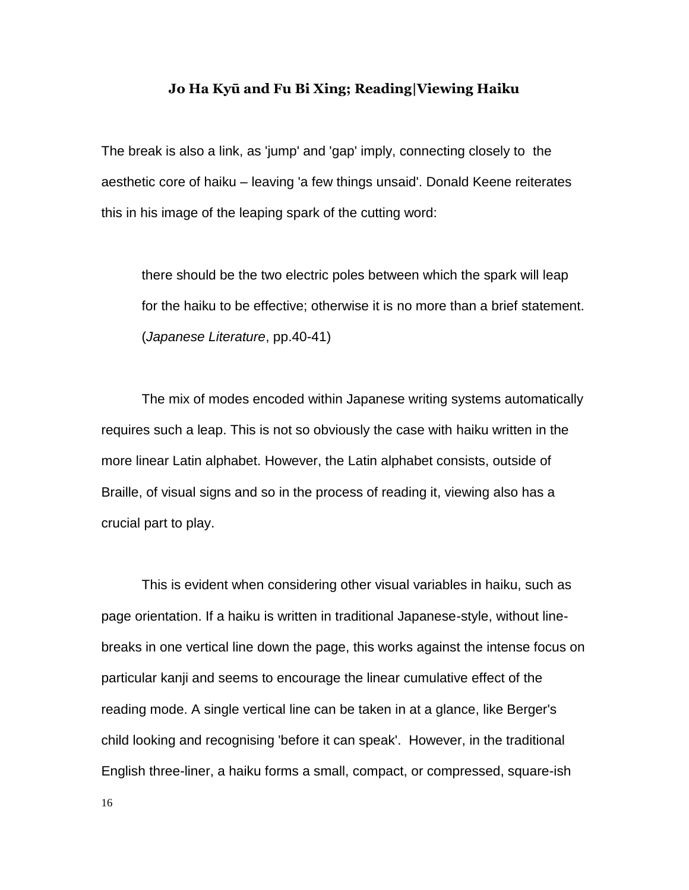The break is also a link, as 'jump' and 'gap' imply, connecting closely to the aesthetic core of haiku – leaving 'a few things unsaid'. Donald Keene reiterates this in his image of the leaping spark of the cutting word:

there should be the two electric poles between which the spark will leap for the haiku to be effective; otherwise it is no more than a brief statement. (*Japanese Literature*, pp.40-41)

The mix of modes encoded within Japanese writing systems automatically requires such a leap. This is not so obviously the case with haiku written in the more linear Latin alphabet. However, the Latin alphabet consists, outside of Braille, of visual signs and so in the process of reading it, viewing also has a crucial part to play.

This is evident when considering other visual variables in haiku, such as page orientation. If a haiku is written in traditional Japanese-style, without linebreaks in one vertical line down the page, this works against the intense focus on particular kanji and seems to encourage the linear cumulative effect of the reading mode. A single vertical line can be taken in at a glance, like Berger's child looking and recognising 'before it can speak'. However, in the traditional English three-liner, a haiku forms a small, compact, or compressed, square-ish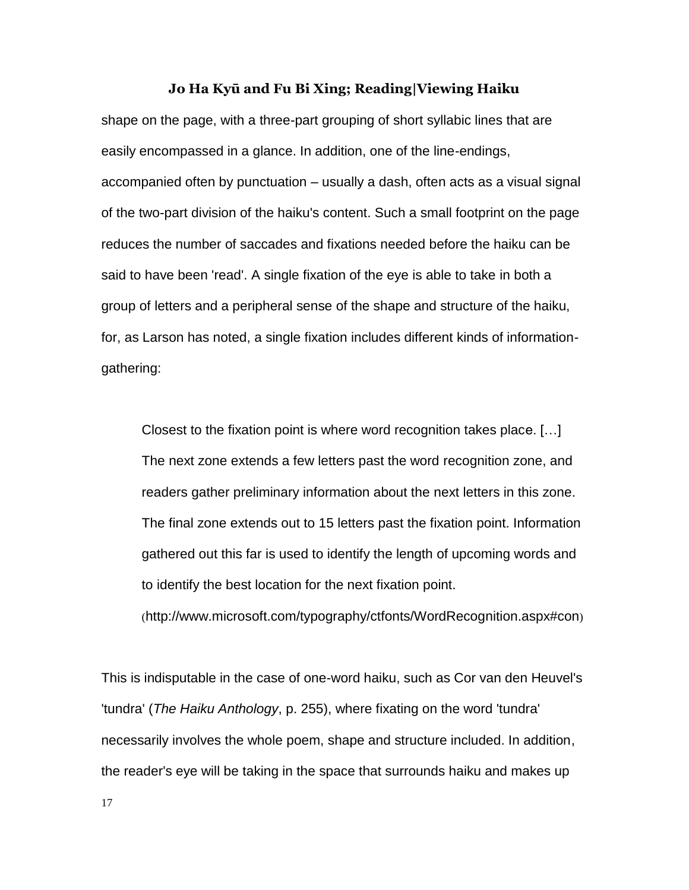shape on the page, with a three-part grouping of short syllabic lines that are easily encompassed in a glance. In addition, one of the line-endings, accompanied often by punctuation – usually a dash, often acts as a visual signal of the two-part division of the haiku's content. Such a small footprint on the page reduces the number of saccades and fixations needed before the haiku can be said to have been 'read'. A single fixation of the eye is able to take in both a group of letters and a peripheral sense of the shape and structure of the haiku, for, as Larson has noted, a single fixation includes different kinds of informationgathering:

Closest to the fixation point is where word recognition takes place. […] The next zone extends a few letters past the word recognition zone, and readers gather preliminary information about the next letters in this zone. The final zone extends out to 15 letters past the fixation point. Information gathered out this far is used to identify the length of upcoming words and to identify the best location for the next fixation point. (<http://www.microsoft.com/typography/ctfonts/WordRecognition.aspx#con>)

This is indisputable in the case of one-word haiku, such as Cor van den Heuvel's 'tundra' (*The Haiku Anthology*, p. 255), where fixating on the word 'tundra' necessarily involves the whole poem, shape and structure included. In addition, the reader's eye will be taking in the space that surrounds haiku and makes up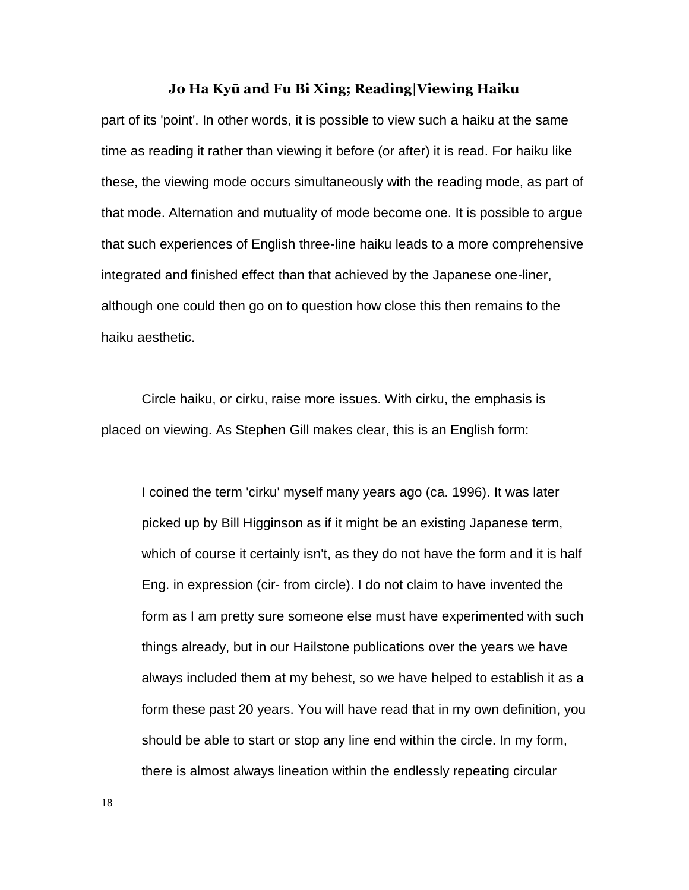part of its 'point'. In other words, it is possible to view such a haiku at the same time as reading it rather than viewing it before (or after) it is read. For haiku like these, the viewing mode occurs simultaneously with the reading mode, as part of that mode. Alternation and mutuality of mode become one. It is possible to argue that such experiences of English three-line haiku leads to a more comprehensive integrated and finished effect than that achieved by the Japanese one-liner, although one could then go on to question how close this then remains to the haiku aesthetic.

Circle haiku, or cirku, raise more issues. With cirku, the emphasis is placed on viewing. As Stephen Gill makes clear, this is an English form:

I coined the term 'cirku' myself many years ago (ca. 1996). It was later picked up by Bill Higginson as if it might be an existing Japanese term, which of course it certainly isn't, as they do not have the form and it is half Eng. in expression (cir- from circle). I do not claim to have invented the form as I am pretty sure someone else must have experimented with such things already, but in our Hailstone publications over the years we have always included them at my behest, so we have helped to establish it as a form these past 20 years. You will have read that in my own definition, you should be able to start or stop any line end within the circle. In my form, there is almost always lineation within the endlessly repeating circular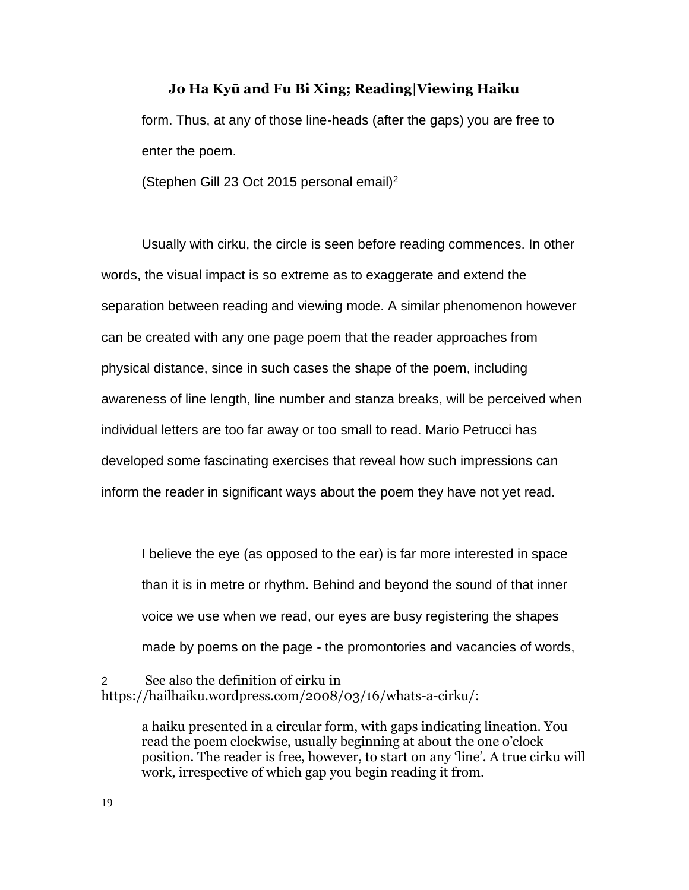form. Thus, at any of those line-heads (after the gaps) you are free to enter the poem.

(Stephen Gill 23 Oct 2015 personal email)<sup>2</sup>

Usually with cirku, the circle is seen before reading commences. In other words, the visual impact is so extreme as to exaggerate and extend the separation between reading and viewing mode. A similar phenomenon however can be created with any one page poem that the reader approaches from physical distance, since in such cases the shape of the poem, including awareness of line length, line number and stanza breaks, will be perceived when individual letters are too far away or too small to read. Mario Petrucci has developed some fascinating exercises that reveal how such impressions can inform the reader in significant ways about the poem they have not yet read.

I believe the eye (as opposed to the ear) is far more interested in space than it is in metre or rhythm. Behind and beyond the sound of that inner voice we use when we read, our eyes are busy registering the shapes made by poems on the page - the promontories and vacancies of words,

 $\overline{a}$ 

<sup>2</sup> See also the definition of cirku in [https://hailhaiku.wordpress.com/2008/03/16/whats-a-cirku/:](https://hailhaiku.wordpress.com/2008/03/16/whats-a-cirku/)

a haiku presented in a circular form, with gaps indicating lineation. You read the poem clockwise, usually beginning at about the one o'clock position. The reader is free, however, to start on any 'line'. A true cirku will work, irrespective of which gap you begin reading it from.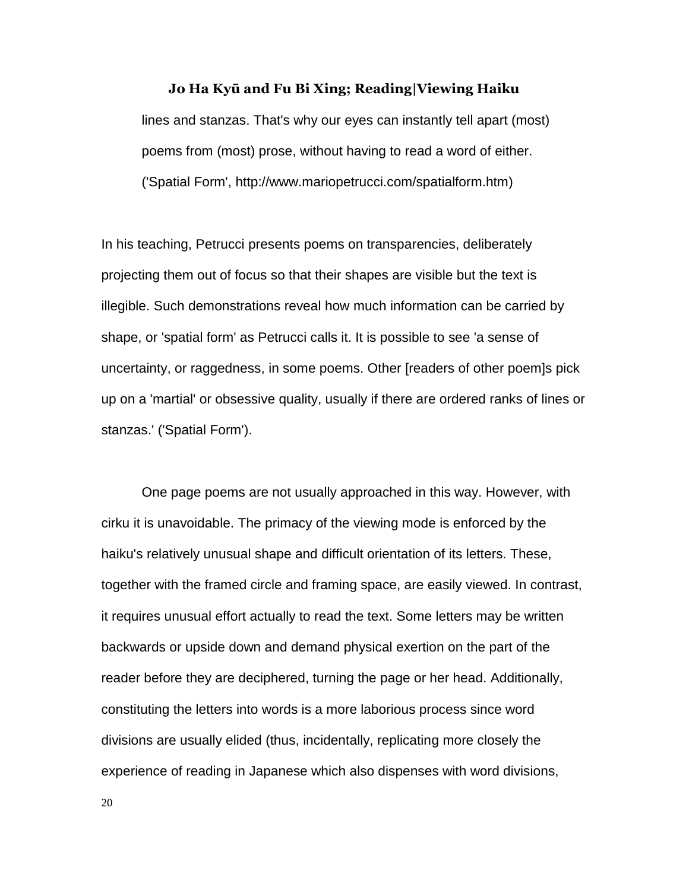lines and stanzas. That's why our eyes can instantly tell apart (most) poems from (most) prose, without having to read a word of either. ('Spatial Form', [http://www.mariopetrucci.com/spatialform.htm\)](http://www.mariopetrucci.com/spatialform.htm)

In his teaching, Petrucci presents poems on transparencies, deliberately projecting them out of focus so that their shapes are visible but the text is illegible. Such demonstrations reveal how much information can be carried by shape, or 'spatial form' as Petrucci calls it. It is possible to see 'a sense of uncertainty, or raggedness, in some poems. Other [readers of other poem]s pick up on a 'martial' or obsessive quality, usually if there are ordered ranks of lines or stanzas.' ('Spatial Form').

One page poems are not usually approached in this way. However, with cirku it is unavoidable. The primacy of the viewing mode is enforced by the haiku's relatively unusual shape and difficult orientation of its letters. These, together with the framed circle and framing space, are easily viewed. In contrast, it requires unusual effort actually to read the text. Some letters may be written backwards or upside down and demand physical exertion on the part of the reader before they are deciphered, turning the page or her head. Additionally, constituting the letters into words is a more laborious process since word divisions are usually elided (thus, incidentally, replicating more closely the experience of reading in Japanese which also dispenses with word divisions,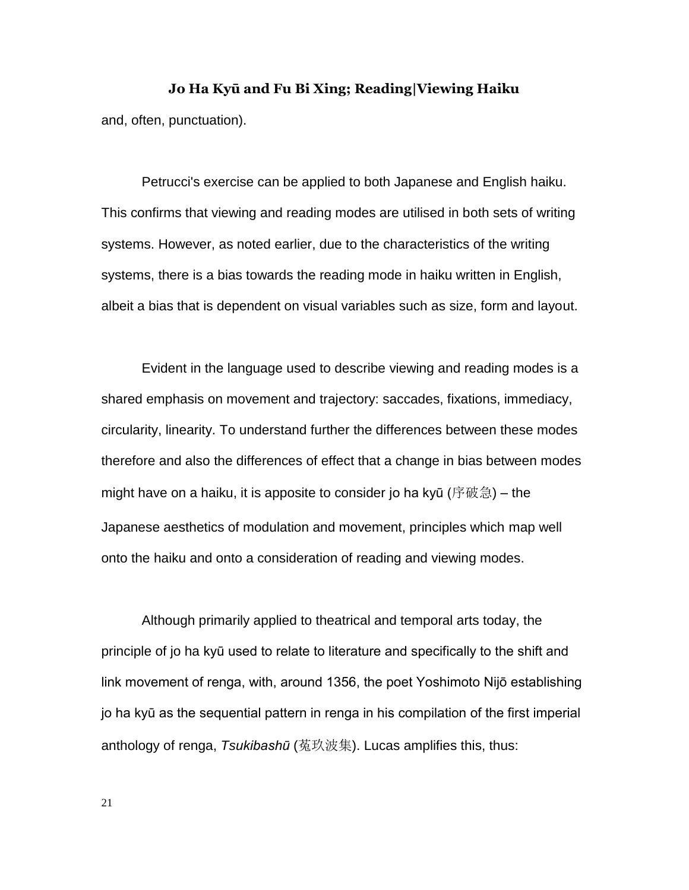and, often, punctuation).

Petrucci's exercise can be applied to both Japanese and English haiku. This confirms that viewing and reading modes are utilised in both sets of writing systems. However, as noted earlier, due to the characteristics of the writing systems, there is a bias towards the reading mode in haiku written in English, albeit a bias that is dependent on visual variables such as size, form and layout.

Evident in the language used to describe viewing and reading modes is a shared emphasis on movement and trajectory: saccades, fixations, immediacy, circularity, linearity. To understand further the differences between these modes therefore and also the differences of effect that a change in bias between modes might have on a haiku, it is apposite to consider jo ha kyū (序破急) – the Japanese aesthetics of modulation and movement, principles which map well onto the haiku and onto a consideration of reading and viewing modes.

Although primarily applied to theatrical and temporal arts today, the principle of jo ha kyū used to relate to literature and specifically to the shift and link movement of renga, with, around 1356, the poet Yoshimoto Nijō establishing jo ha kyū as the sequential pattern in renga in his compilation of the first imperial anthology of renga, *Tsukibashū* (菟玖波集). Lucas amplifies this, thus: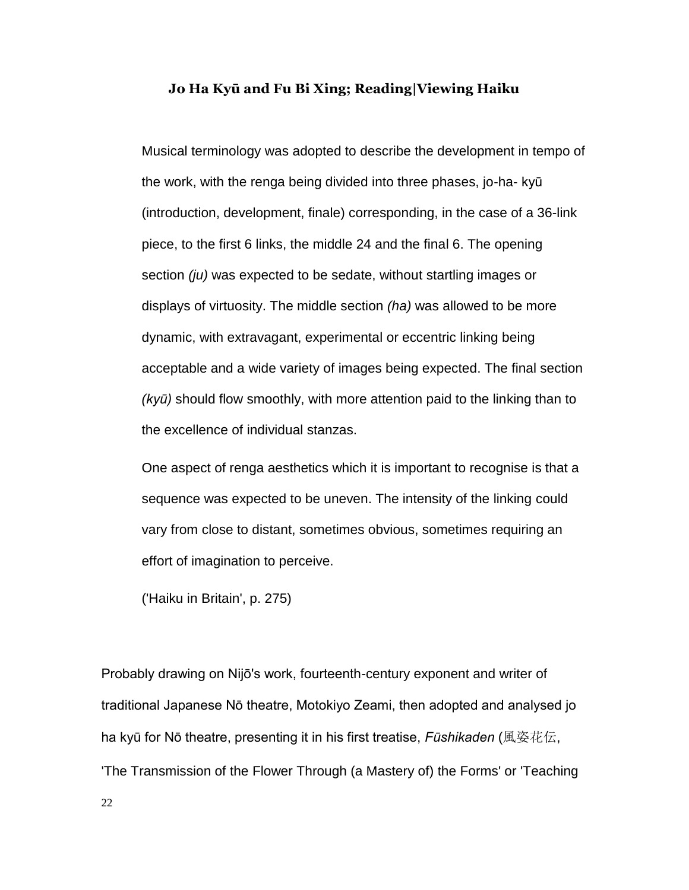Musical terminology was adopted to describe the development in tempo of the work, with the renga being divided into three phases, jo-ha- kyū (introduction, development, finale) corresponding, in the case of a 36-link piece, to the first 6 links, the middle 24 and the final 6. The opening section *(ju)* was expected to be sedate, without startling images or displays of virtuosity. The middle section *(ha)* was allowed to be more dynamic, with extravagant, experimental or eccentric linking being acceptable and a wide variety of images being expected. The final section *(kyū)* should flow smoothly, with more attention paid to the linking than to the excellence of individual stanzas.

One aspect of renga aesthetics which it is important to recognise is that a sequence was expected to be uneven. The intensity of the linking could vary from close to distant, sometimes obvious, sometimes requiring an effort of imagination to perceive.

('Haiku in Britain', p. 275)

22 Probably drawing on Nijō's work, fourteenth-century exponent and writer of traditional Japanese Nō theatre, Motokiyo Zeami, then adopted and analysed jo ha kyū for Nō theatre, presenting it in his first treatise, *Fūshikaden* (風姿花伝, 'The Transmission of the Flower Through (a Mastery of) the Forms' or 'Teaching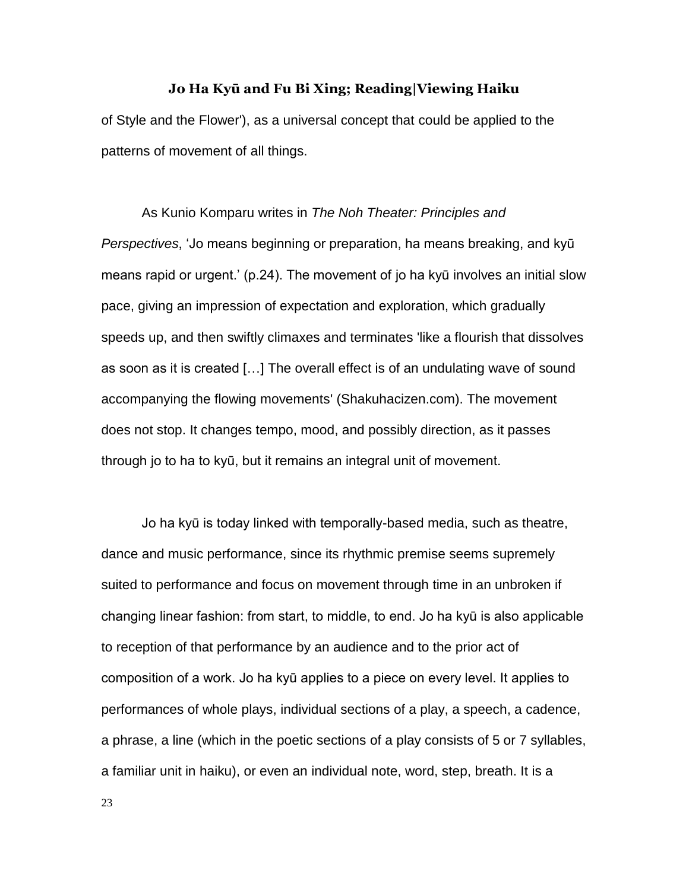of Style and the Flower'), as a universal concept that could be applied to the patterns of movement of all things.

As Kunio Komparu writes in *The Noh Theater: Principles and Perspectives*, 'Jo means beginning or preparation, ha means breaking, and kyū means rapid or urgent.' (p.24). The movement of jo ha kyū involves an initial slow pace, giving an impression of expectation and exploration, which gradually speeds up, and then swiftly climaxes and terminates 'like a flourish that dissolves as soon as it is created […] The overall effect is of an undulating wave of sound accompanying the flowing movements' (Shakuhacizen.com). The movement does not stop. It changes tempo, mood, and possibly direction, as it passes through jo to ha to kyū, but it remains an integral unit of movement.

Jo ha kyū is today linked with temporally-based media, such as theatre, dance and music performance, since its rhythmic premise seems supremely suited to performance and focus on movement through time in an unbroken if changing linear fashion: from start, to middle, to end. Jo ha kyū is also applicable to reception of that performance by an audience and to the prior act of composition of a work. Jo ha kyū applies to a piece on every level. It applies to performances of whole plays, individual sections of a play, a speech, a cadence, a phrase, a line (which in the poetic sections of a play consists of 5 or 7 syllables, a familiar unit in haiku), or even an individual note, word, step, breath. It is a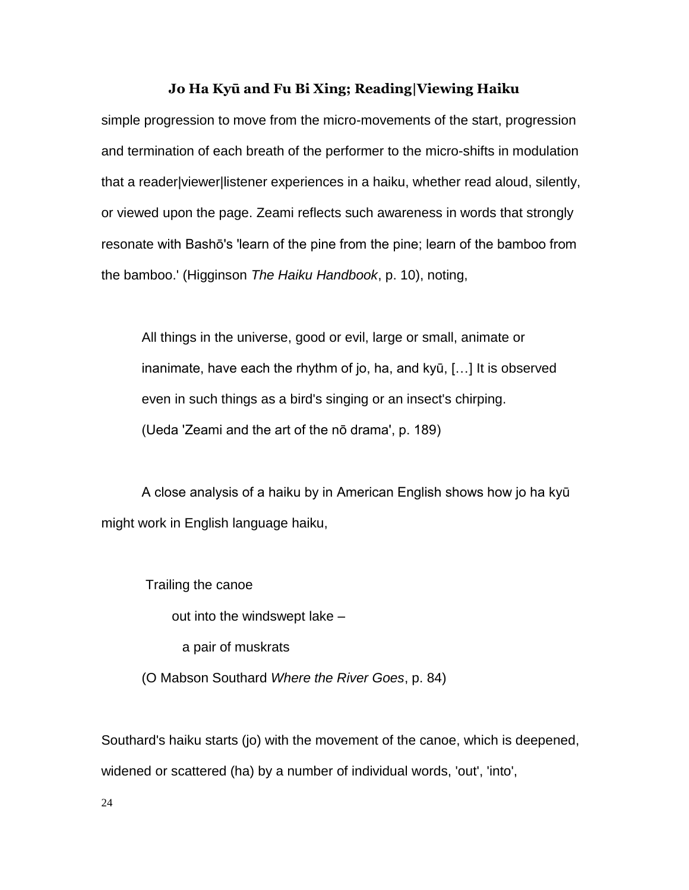simple progression to move from the micro-movements of the start, progression and termination of each breath of the performer to the micro-shifts in modulation that a reader|viewer|listener experiences in a haiku, whether read aloud, silently, or viewed upon the page. Zeami reflects such awareness in words that strongly resonate with Bashō's 'learn of the pine from the pine; learn of the bamboo from the bamboo.' (Higginson *The Haiku Handbook*, p. 10), noting,

All things in the universe, good or evil, large or small, animate or inanimate, have each the rhythm of jo, ha, and kyū, […] It is observed even in such things as a bird's singing or an insect's chirping. (Ueda 'Zeami and the art of the nō drama', p. 189)

A close analysis of a haiku by in American English shows how jo ha kyū might work in English language haiku,

Trailing the canoe out into the windswept lake – a pair of muskrats (O Mabson Southard *Where the River Goes*, p. 84)

Southard's haiku starts (jo) with the movement of the canoe, which is deepened, widened or scattered (ha) by a number of individual words, 'out', 'into',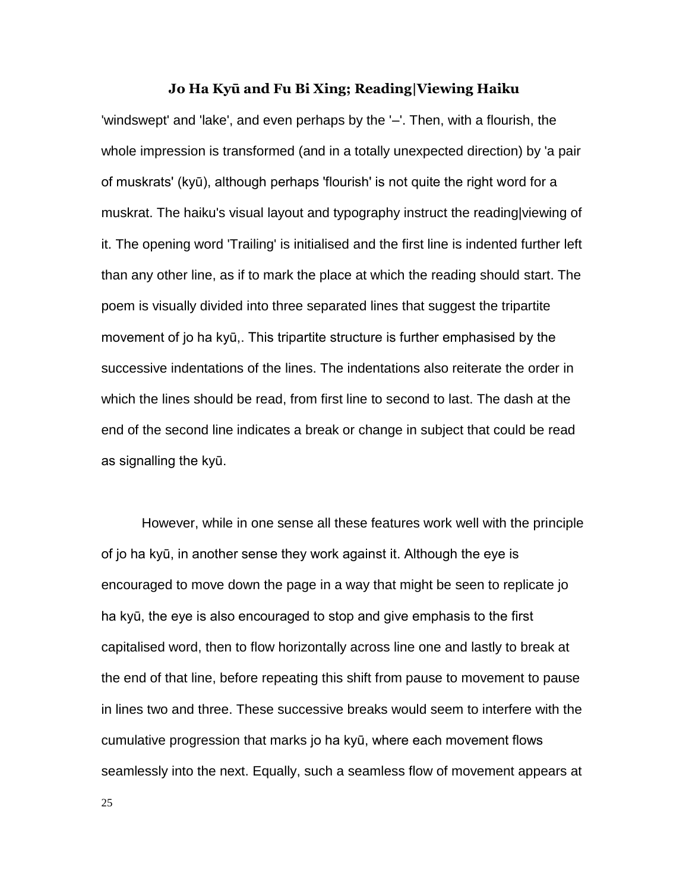'windswept' and 'lake', and even perhaps by the '–'. Then, with a flourish, the whole impression is transformed (and in a totally unexpected direction) by 'a pair of muskrats' (kyū), although perhaps 'flourish' is not quite the right word for a muskrat. The haiku's visual layout and typography instruct the reading|viewing of it. The opening word 'Trailing' is initialised and the first line is indented further left than any other line, as if to mark the place at which the reading should start. The poem is visually divided into three separated lines that suggest the tripartite movement of jo ha kyū,. This tripartite structure is further emphasised by the successive indentations of the lines. The indentations also reiterate the order in which the lines should be read, from first line to second to last. The dash at the end of the second line indicates a break or change in subject that could be read as signalling the kyū.

However, while in one sense all these features work well with the principle of jo ha kyū, in another sense they work against it. Although the eye is encouraged to move down the page in a way that might be seen to replicate jo ha kyū, the eye is also encouraged to stop and give emphasis to the first capitalised word, then to flow horizontally across line one and lastly to break at the end of that line, before repeating this shift from pause to movement to pause in lines two and three. These successive breaks would seem to interfere with the cumulative progression that marks jo ha kyū, where each movement flows seamlessly into the next. Equally, such a seamless flow of movement appears at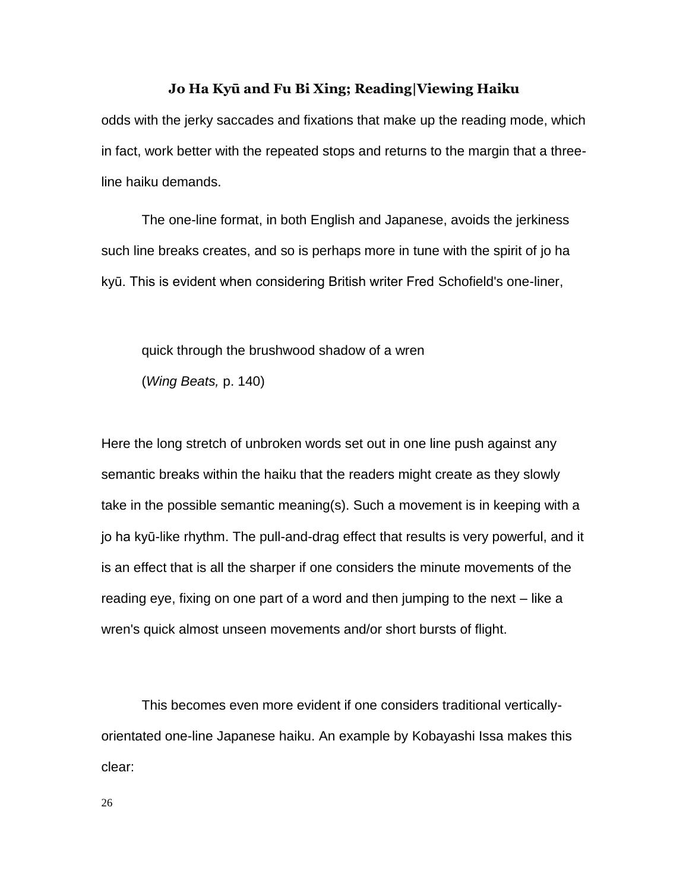odds with the jerky saccades and fixations that make up the reading mode, which in fact, work better with the repeated stops and returns to the margin that a threeline haiku demands.

The one-line format, in both English and Japanese, avoids the jerkiness such line breaks creates, and so is perhaps more in tune with the spirit of jo ha kyū. This is evident when considering British writer Fred Schofield's one-liner,

quick through the brushwood shadow of a wren

(*Wing Beats,* p. 140)

Here the long stretch of unbroken words set out in one line push against any semantic breaks within the haiku that the readers might create as they slowly take in the possible semantic meaning(s). Such a movement is in keeping with a jo ha kyū-like rhythm. The pull-and-drag effect that results is very powerful, and it is an effect that is all the sharper if one considers the minute movements of the reading eye, fixing on one part of a word and then jumping to the next – like a wren's quick almost unseen movements and/or short bursts of flight.

This becomes even more evident if one considers traditional verticallyorientated one-line Japanese haiku. An example by Kobayashi Issa makes this clear: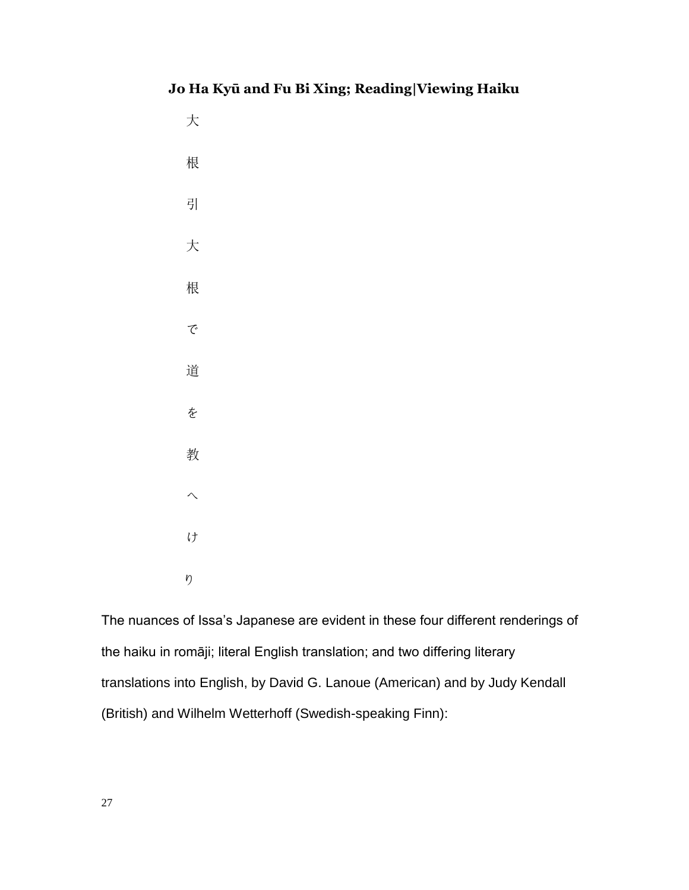| 大                       |  |  |  |
|-------------------------|--|--|--|
| 根                       |  |  |  |
| 레                       |  |  |  |
| 大                       |  |  |  |
| 根                       |  |  |  |
| $\mathcal{L}$           |  |  |  |
| 道                       |  |  |  |
| $\overleftarrow{c}$     |  |  |  |
| 教                       |  |  |  |
| $\widehat{\phantom{a}}$ |  |  |  |
| $\iota$                 |  |  |  |
| $\mathfrak{h}$          |  |  |  |

The nuances of Issa's Japanese are evident in these four different renderings of the haiku in romāji; literal English translation; and two differing literary translations into English, by David G. Lanoue (American) and by Judy Kendall (British) and Wilhelm Wetterhoff (Swedish-speaking Finn):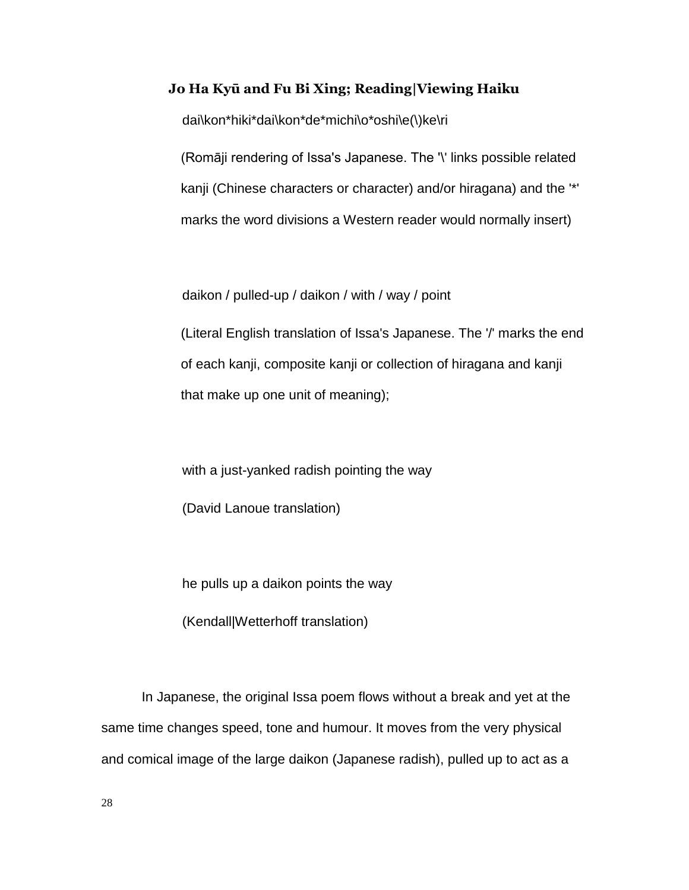dai\kon\*hiki\*dai\kon\*de\*michi\o\*oshi\e(\)ke\ri

(Romāji rendering of Issa's Japanese. The '\' links possible related kanji (Chinese characters or character) and/or hiragana) and the '\*' marks the word divisions a Western reader would normally insert)

daikon / pulled-up / daikon / with / way / point

(Literal English translation of Issa's Japanese. The '/' marks the end of each kanji, composite kanji or collection of hiragana and kanji that make up one unit of meaning);

with a just-yanked radish pointing the way

(David Lanoue translation)

he pulls up a daikon points the way

(Kendall|Wetterhoff translation)

In Japanese, the original Issa poem flows without a break and yet at the same time changes speed, tone and humour. It moves from the very physical and comical image of the large daikon (Japanese radish), pulled up to act as a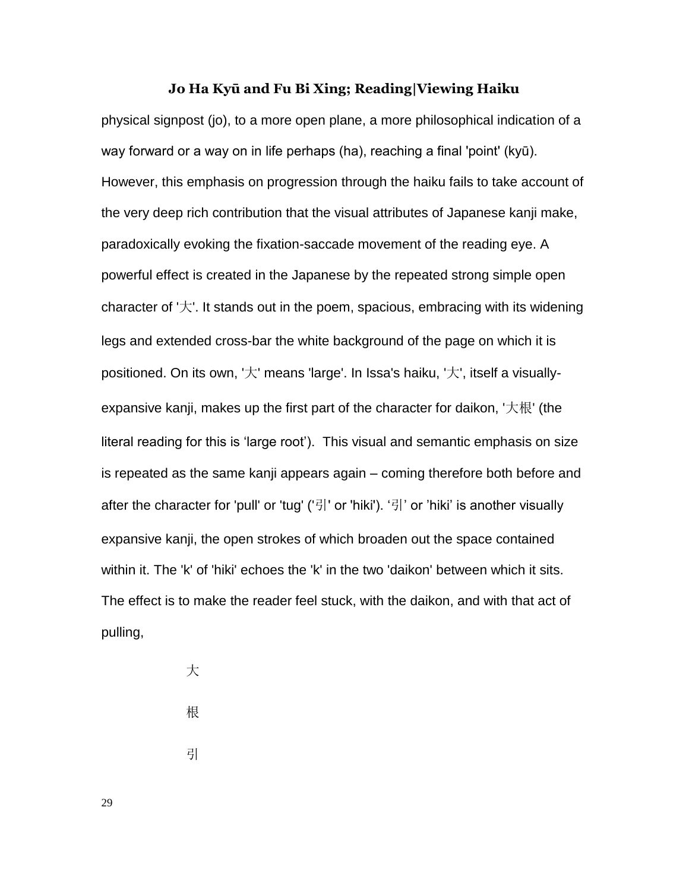physical signpost (jo), to a more open plane, a more philosophical indication of a way forward or a way on in life perhaps (ha), reaching a final 'point' (kyū). However, this emphasis on progression through the haiku fails to take account of the very deep rich contribution that the visual attributes of Japanese kanji make, paradoxically evoking the fixation-saccade movement of the reading eye. A powerful effect is created in the Japanese by the repeated strong simple open character of ' $\pm$ '. It stands out in the poem, spacious, embracing with its widening legs and extended cross-bar the white background of the page on which it is positioned. On its own, '大' means 'large'. In Issa's haiku, '大', itself a visuallyexpansive kanji, makes up the first part of the character for daikon, '大根' (the literal reading for this is 'large root'). This visual and semantic emphasis on size is repeated as the same kanji appears again – coming therefore both before and after the character for 'pull' or 'tug' ('引' or 'hiki'). '引' or 'hiki' is another visually expansive kanji, the open strokes of which broaden out the space contained within it. The 'k' of 'hiki' echoes the 'k' in the two 'daikon' between which it sits. The effect is to make the reader feel stuck, with the daikon, and with that act of pulling,

> 大 根 引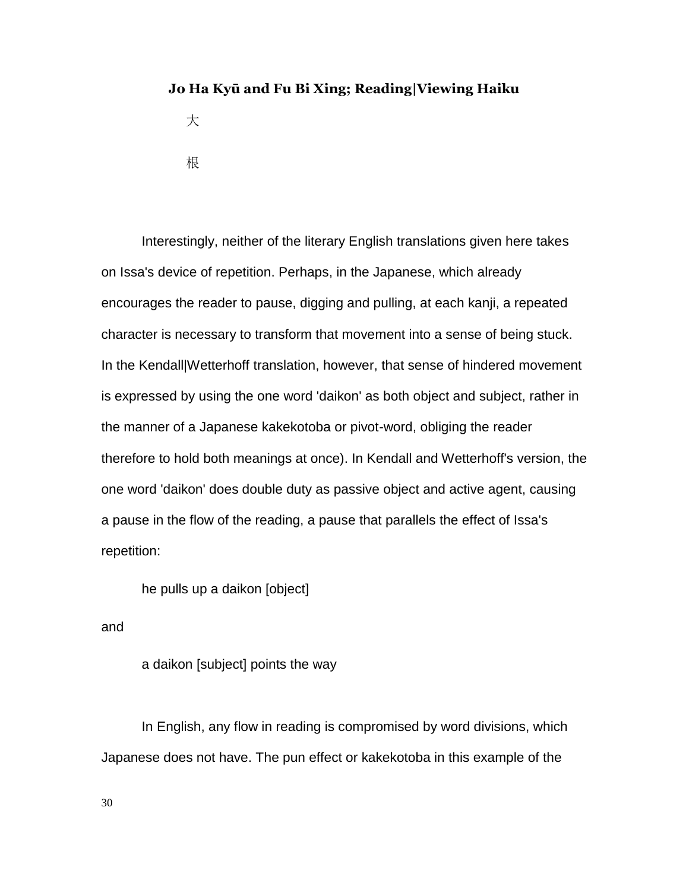大

根

Interestingly, neither of the literary English translations given here takes on Issa's device of repetition. Perhaps, in the Japanese, which already encourages the reader to pause, digging and pulling, at each kanji, a repeated character is necessary to transform that movement into a sense of being stuck. In the Kendall|Wetterhoff translation, however, that sense of hindered movement is expressed by using the one word 'daikon' as both object and subject, rather in the manner of a Japanese kakekotoba or pivot-word, obliging the reader therefore to hold both meanings at once). In Kendall and Wetterhoff's version, the one word 'daikon' does double duty as passive object and active agent, causing a pause in the flow of the reading, a pause that parallels the effect of Issa's repetition:

he pulls up a daikon [object]

and

a daikon [subject] points the way

In English, any flow in reading is compromised by word divisions, which Japanese does not have. The pun effect or kakekotoba in this example of the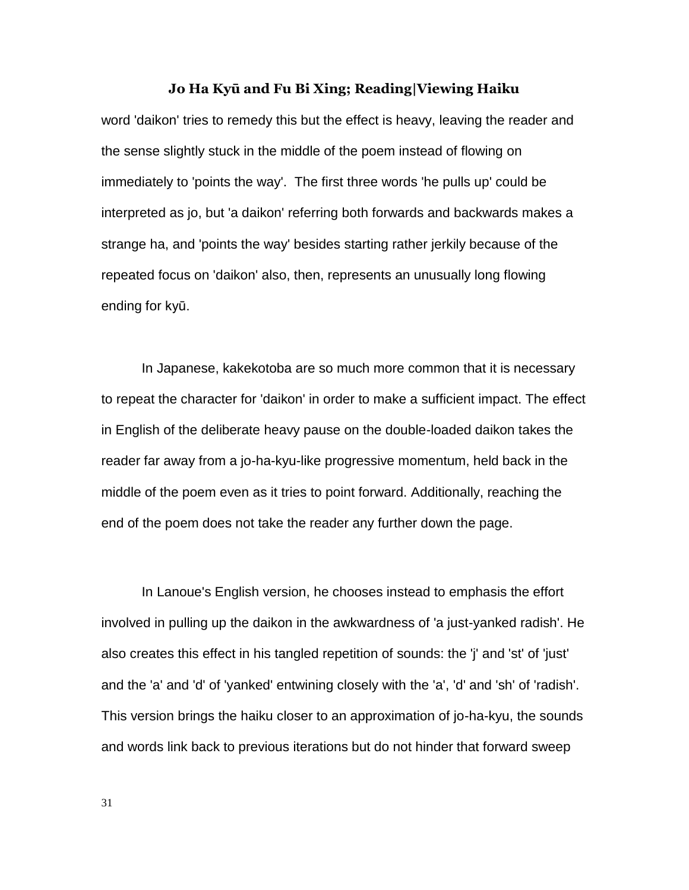word 'daikon' tries to remedy this but the effect is heavy, leaving the reader and the sense slightly stuck in the middle of the poem instead of flowing on immediately to 'points the way'. The first three words 'he pulls up' could be interpreted as jo, but 'a daikon' referring both forwards and backwards makes a strange ha, and 'points the way' besides starting rather jerkily because of the repeated focus on 'daikon' also, then, represents an unusually long flowing ending for kyū.

In Japanese, kakekotoba are so much more common that it is necessary to repeat the character for 'daikon' in order to make a sufficient impact. The effect in English of the deliberate heavy pause on the double-loaded daikon takes the reader far away from a jo-ha-kyu-like progressive momentum, held back in the middle of the poem even as it tries to point forward. Additionally, reaching the end of the poem does not take the reader any further down the page.

In Lanoue's English version, he chooses instead to emphasis the effort involved in pulling up the daikon in the awkwardness of 'a just-yanked radish'. He also creates this effect in his tangled repetition of sounds: the 'j' and 'st' of 'just' and the 'a' and 'd' of 'yanked' entwining closely with the 'a', 'd' and 'sh' of 'radish'. This version brings the haiku closer to an approximation of jo-ha-kyu, the sounds and words link back to previous iterations but do not hinder that forward sweep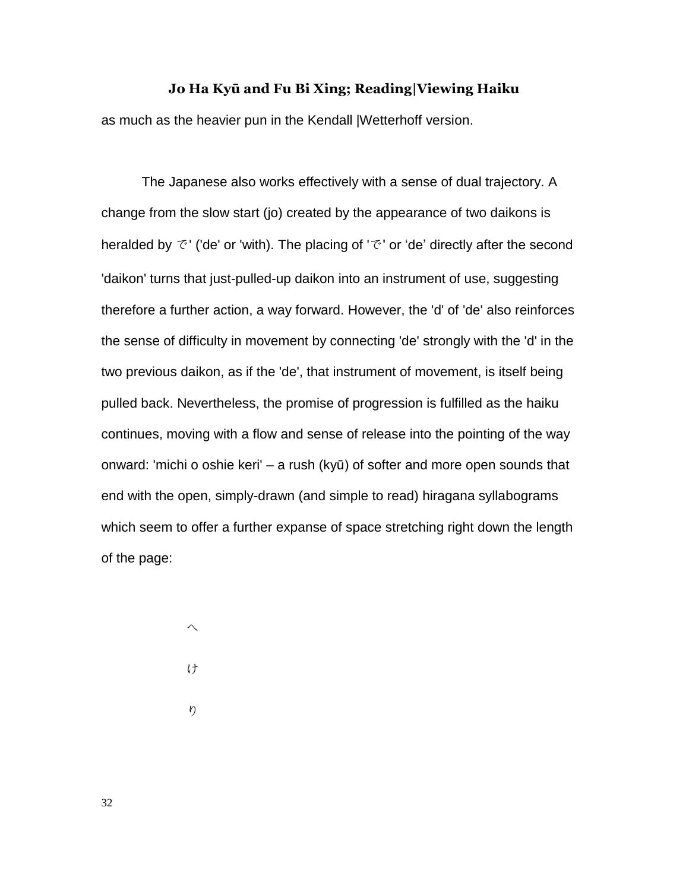as much as the heavier pun in the Kendall |Wetterhoff version.

The Japanese also works effectively with a sense of dual trajectory. A change from the slow start (jo) created by the appearance of two daikons is heralded by で' ('de' or 'with). The placing of 'で' or 'de' directly after the second 'daikon' turns that just-pulled-up daikon into an instrument of use, suggesting therefore a further action, a way forward. However, the 'd' of 'de' also reinforces the sense of difficulty in movement by connecting 'de' strongly with the 'd' in the two previous daikon, as if the 'de', that instrument of movement, is itself being pulled back. Nevertheless, the promise of progression is fulfilled as the haiku continues, moving with a flow and sense of release into the pointing of the way onward: 'michi o oshie keri' – a rush (kyū) of softer and more open sounds that end with the open, simply-drawn (and simple to read) hiragana syllabograms which seem to offer a further expanse of space stretching right down the length of the page:

> へ け り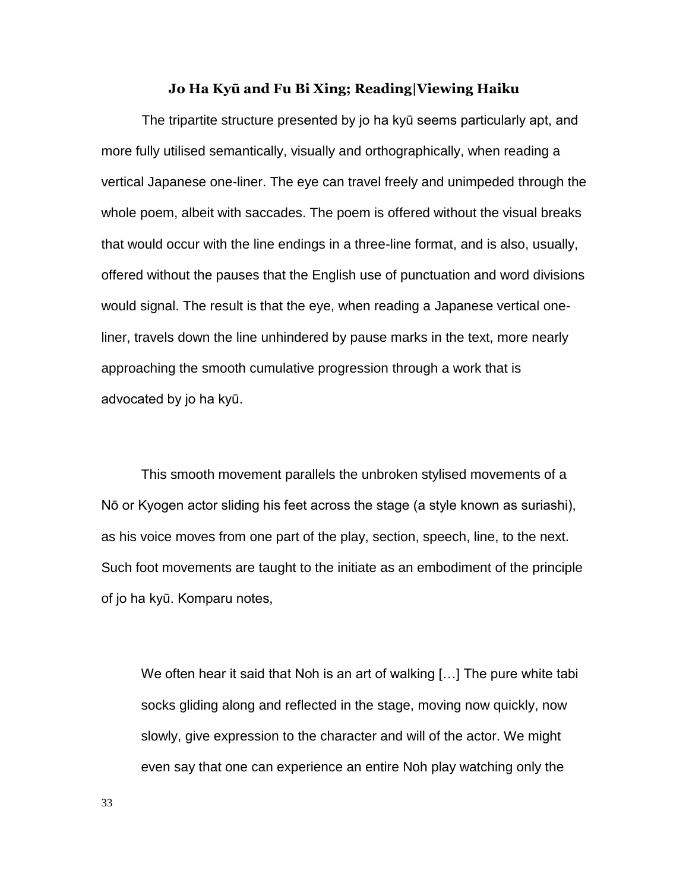The tripartite structure presented by jo ha kyū seems particularly apt, and more fully utilised semantically, visually and orthographically, when reading a vertical Japanese one-liner. The eye can travel freely and unimpeded through the whole poem, albeit with saccades. The poem is offered without the visual breaks that would occur with the line endings in a three-line format, and is also, usually, offered without the pauses that the English use of punctuation and word divisions would signal. The result is that the eye, when reading a Japanese vertical oneliner, travels down the line unhindered by pause marks in the text, more nearly approaching the smooth cumulative progression through a work that is advocated by jo ha kyū.

This smooth movement parallels the unbroken stylised movements of a Nō or Kyogen actor sliding his feet across the stage (a style known as suriashi), as his voice moves from one part of the play, section, speech, line, to the next. Such foot movements are taught to the initiate as an embodiment of the principle of jo ha kyū. Komparu notes,

We often hear it said that Noh is an art of walking [...] The pure white tabi socks gliding along and reflected in the stage, moving now quickly, now slowly, give expression to the character and will of the actor. We might even say that one can experience an entire Noh play watching only the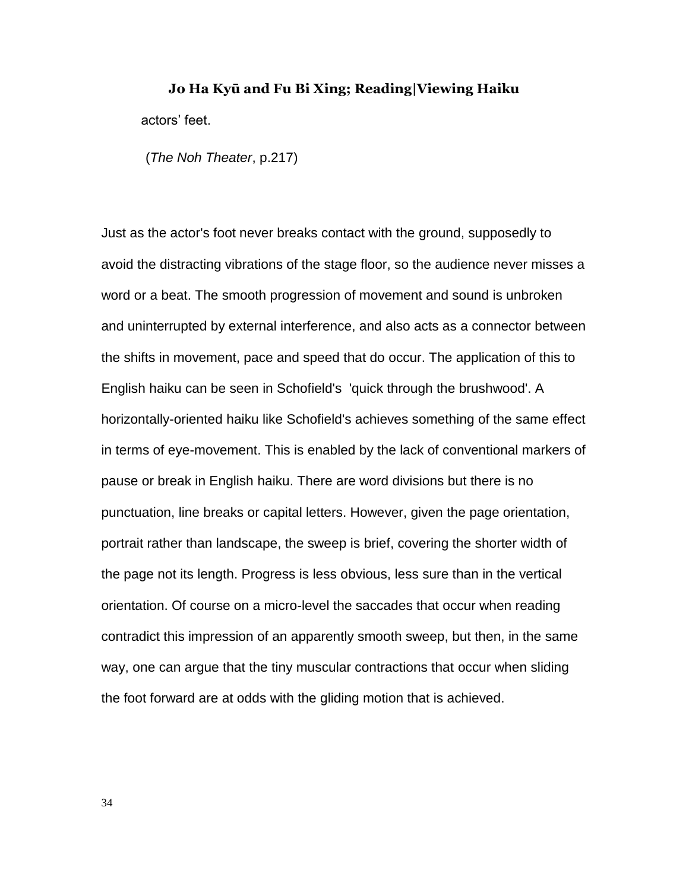# **Jo Ha Kyū and Fu Bi Xing; Reading|Viewing Haiku** actors' feet.

(*The Noh Theater*, p.217)

Just as the actor's foot never breaks contact with the ground, supposedly to avoid the distracting vibrations of the stage floor, so the audience never misses a word or a beat. The smooth progression of movement and sound is unbroken and uninterrupted by external interference, and also acts as a connector between the shifts in movement, pace and speed that do occur. The application of this to English haiku can be seen in Schofield's 'quick through the brushwood'. A horizontally-oriented haiku like Schofield's achieves something of the same effect in terms of eye-movement. This is enabled by the lack of conventional markers of pause or break in English haiku. There are word divisions but there is no punctuation, line breaks or capital letters. However, given the page orientation, portrait rather than landscape, the sweep is brief, covering the shorter width of the page not its length. Progress is less obvious, less sure than in the vertical orientation. Of course on a micro-level the saccades that occur when reading contradict this impression of an apparently smooth sweep, but then, in the same way, one can argue that the tiny muscular contractions that occur when sliding the foot forward are at odds with the gliding motion that is achieved.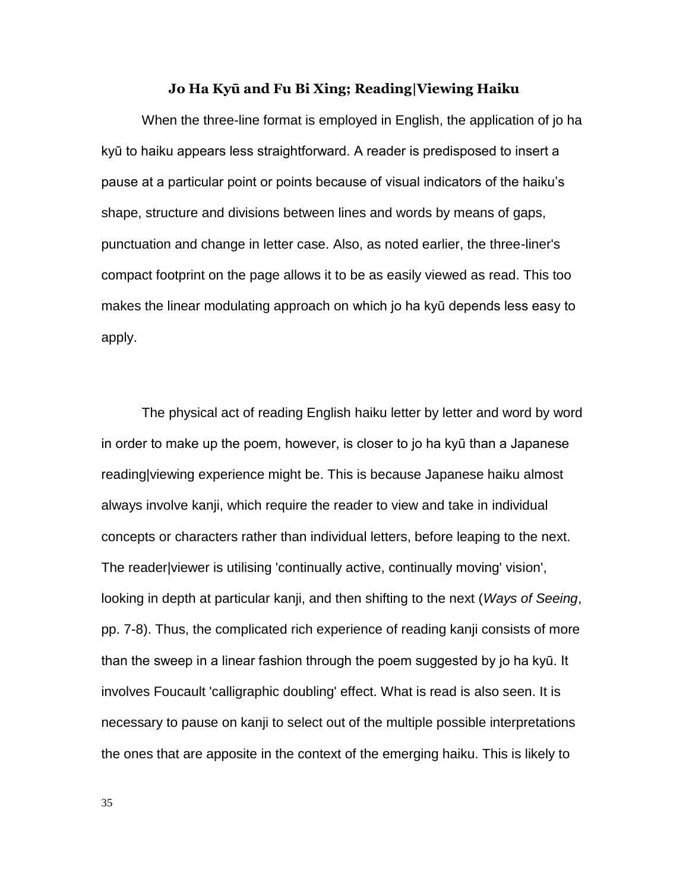When the three-line format is employed in English, the application of jo ha kyū to haiku appears less straightforward. A reader is predisposed to insert a pause at a particular point or points because of visual indicators of the haiku's shape, structure and divisions between lines and words by means of gaps, punctuation and change in letter case. Also, as noted earlier, the three-liner's compact footprint on the page allows it to be as easily viewed as read. This too makes the linear modulating approach on which jo ha kyū depends less easy to apply.

The physical act of reading English haiku letter by letter and word by word in order to make up the poem, however, is closer to jo ha kyū than a Japanese reading|viewing experience might be. This is because Japanese haiku almost always involve kanji, which require the reader to view and take in individual concepts or characters rather than individual letters, before leaping to the next. The reader|viewer is utilising 'continually active, continually moving' vision', looking in depth at particular kanji, and then shifting to the next (*Ways of Seeing*, pp. 7-8). Thus, the complicated rich experience of reading kanji consists of more than the sweep in a linear fashion through the poem suggested by jo ha kyū. It involves Foucault 'calligraphic doubling' effect. What is read is also seen. It is necessary to pause on kanji to select out of the multiple possible interpretations the ones that are apposite in the context of the emerging haiku. This is likely to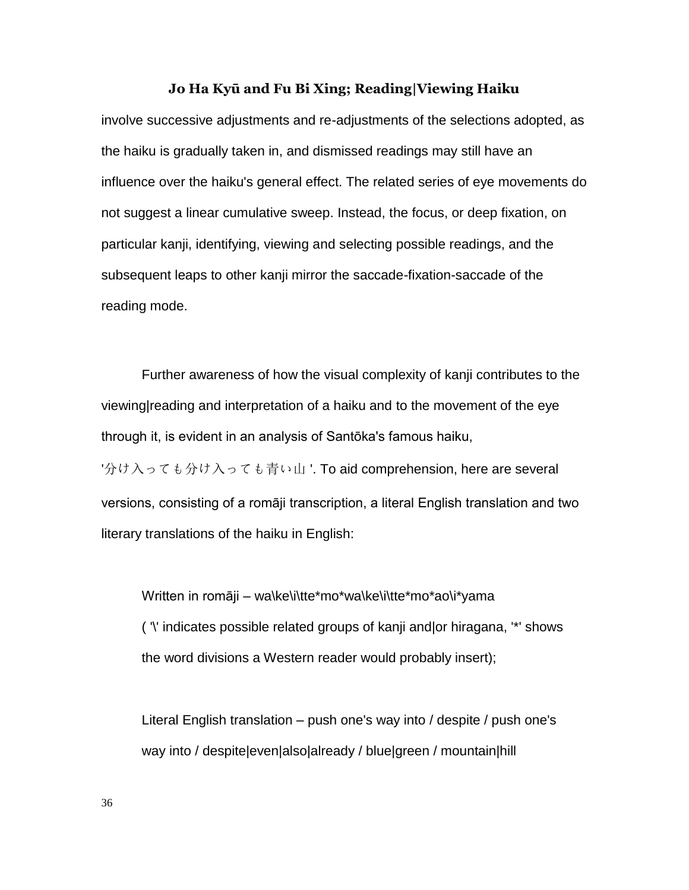involve successive adjustments and re-adjustments of the selections adopted, as the haiku is gradually taken in, and dismissed readings may still have an influence over the haiku's general effect. The related series of eye movements do not suggest a linear cumulative sweep. Instead, the focus, or deep fixation, on particular kanji, identifying, viewing and selecting possible readings, and the subsequent leaps to other kanji mirror the saccade-fixation-saccade of the reading mode.

Further awareness of how the visual complexity of kanji contributes to the viewing|reading and interpretation of a haiku and to the movement of the eye through it, is evident in an analysis of Santōka's famous haiku, '分け入っても分け入っても青い山 '. To aid comprehension, here are several versions, consisting of a romāji transcription, a literal English translation and two literary translations of the haiku in English:

Written in romāji – wa\ke\i\tte\*mo\*wa\ke\i\tte\*mo\*ao\i\*yama ( '\' indicates possible related groups of kanji and|or hiragana, '\*' shows the word divisions a Western reader would probably insert);

Literal English translation – push one's way into / despite / push one's way into / despite|even|also|already / blue|green / mountain|hill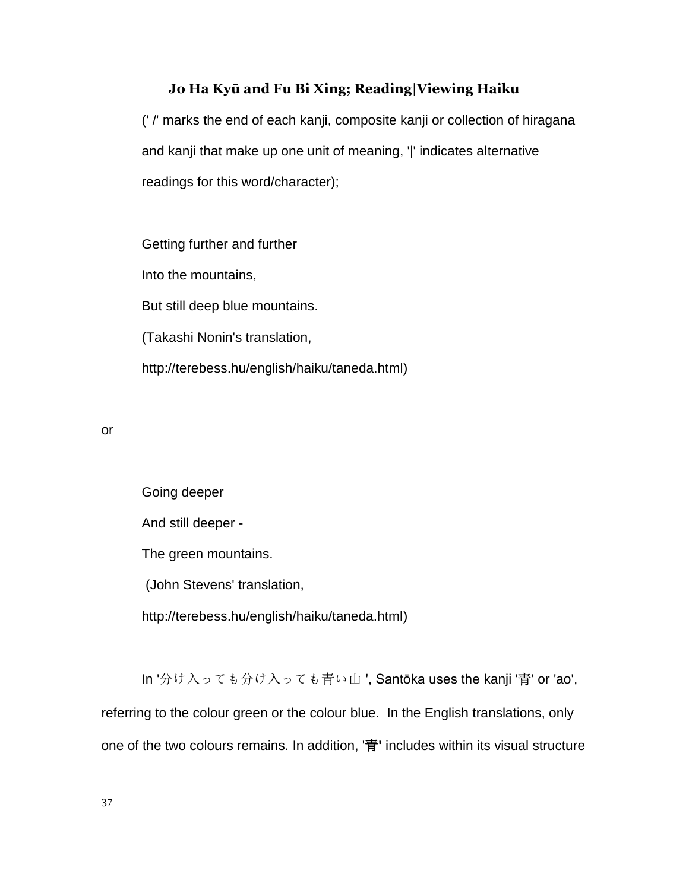(' /' marks the end of each kanji, composite kanji or collection of hiragana and kanji that make up one unit of meaning, '|' indicates alternative readings for this word/character);

Getting further and further Into the mountains, But still deep blue mountains. (Takashi Nonin's translation, [http://terebess.hu/english/haiku/taneda.html\)](http://terebess.hu/english/haiku/taneda.html)

or

Going deeper And still deeper - The green mountains. (John Stevens' translation, [http://terebess.hu/english/haiku/taneda.html\)](http://terebess.hu/english/haiku/taneda.html)

In '分け入っても分け入っても青い山 ', Santōka uses the kanji '青' or 'ao', referring to the colour green or the colour blue. In the English translations, only one of the two colours remains. In addition, '青**'** includes within its visual structure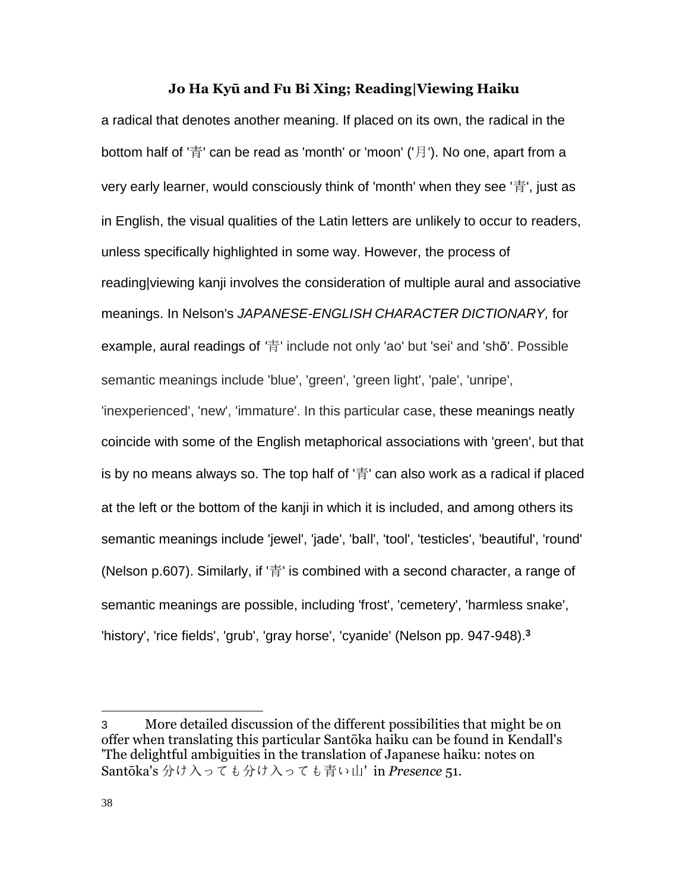a radical that denotes another meaning. If placed on its own, the radical in the bottom half of '青' can be read as 'month' or 'moon' ('月'). No one, apart from a very early learner, would consciously think of 'month' when they see '青', just as in English, the visual qualities of the Latin letters are unlikely to occur to readers, unless specifically highlighted in some way. However, the process of reading|viewing kanji involves the consideration of multiple aural and associative meanings. In Nelson's *JAPANESE-ENGLISH CHARACTER DICTIONARY,* for example, aural readings of *'*青' include not only 'ao' but 'sei' and 'shō'. Possible semantic meanings include 'blue', 'green', 'green light', 'pale', 'unripe', 'inexperienced', 'new', 'immature'. In this particular case, these meanings neatly coincide with some of the English metaphorical associations with 'green', but that is by no means always so. The top half of '青' can also work as a radical if placed at the left or the bottom of the kanji in which it is included, and among others its semantic meanings include 'jewel', 'jade', 'ball', 'tool', 'testicles', 'beautiful', 'round' (Nelson p.607). Similarly, if '青' is combined with a second character, a range of semantic meanings are possible, including 'frost', 'cemetery', 'harmless snake', 'history', 'rice fields', 'grub', 'gray horse', 'cyanide' (Nelson pp. 947-948).**<sup>3</sup>**

l

<sup>3</sup> More detailed discussion of the different possibilities that might be on offer when translating this particular Santōka haiku can be found in Kendall's 'The delightful ambiguities in the translation of Japanese haiku: notes on Santōka's 分け入っても分け入っても青い山' in *Presence* 51.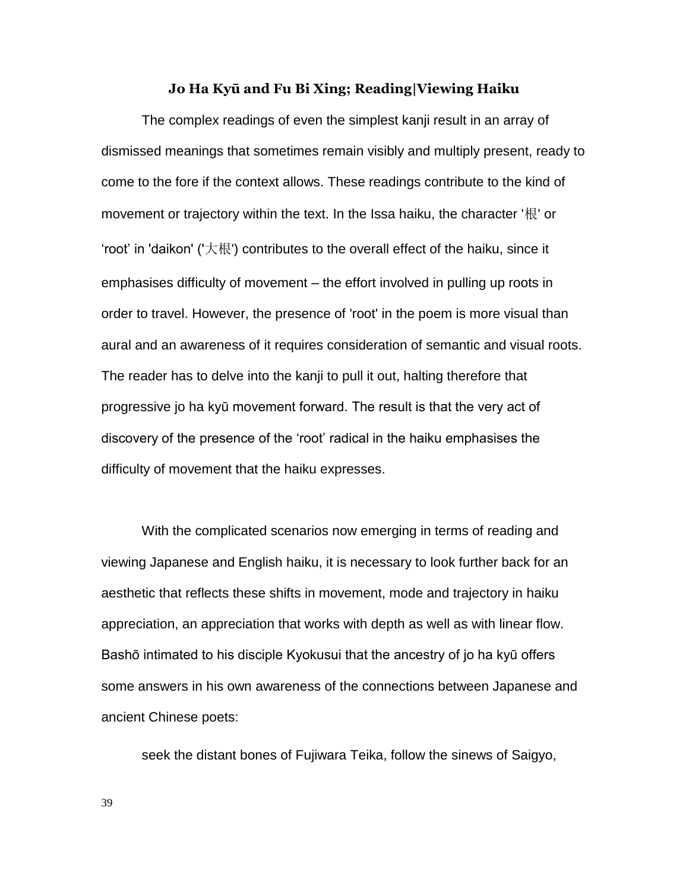The complex readings of even the simplest kanji result in an array of dismissed meanings that sometimes remain visibly and multiply present, ready to come to the fore if the context allows. These readings contribute to the kind of movement or trajectory within the text. In the Issa haiku, the character '根' or 'root' in 'daikon' ('大根') contributes to the overall effect of the haiku, since it emphasises difficulty of movement – the effort involved in pulling up roots in order to travel. However, the presence of 'root' in the poem is more visual than aural and an awareness of it requires consideration of semantic and visual roots. The reader has to delve into the kanji to pull it out, halting therefore that progressive jo ha kyū movement forward. The result is that the very act of discovery of the presence of the 'root' radical in the haiku emphasises the difficulty of movement that the haiku expresses.

With the complicated scenarios now emerging in terms of reading and viewing Japanese and English haiku, it is necessary to look further back for an aesthetic that reflects these shifts in movement, mode and trajectory in haiku appreciation, an appreciation that works with depth as well as with linear flow. Bashō intimated to his disciple Kyokusui that the ancestry of jo ha kyū offers some answers in his own awareness of the connections between Japanese and ancient Chinese poets:

seek the distant bones of Fujiwara Teika, follow the sinews of Saigyo,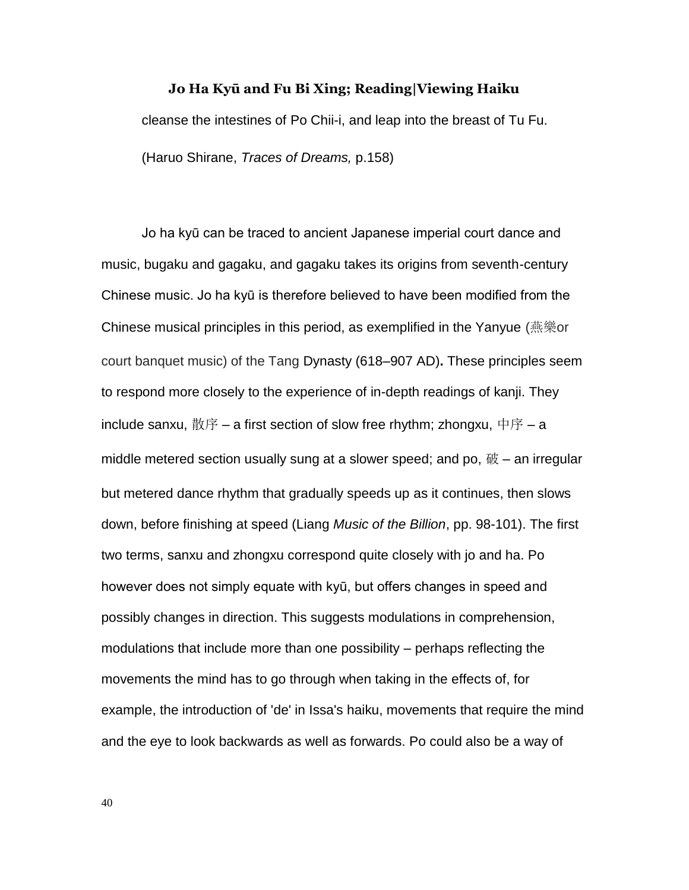cleanse the intestines of Po Chii-i, and leap into the breast of Tu Fu. (Haruo Shirane, *Traces of Dreams,* p.158)

Jo ha kyū can be traced to ancient Japanese imperial court dance and music, bugaku and gagaku, and gagaku takes its origins from seventh-century Chinese music. Jo ha kyū is therefore believed to have been modified from the Chinese musical principles in this period, as exemplified in the Yanyue (燕樂or court banquet music) of the Tang Dynasty (618–907 AD)**.** These principles seem to respond more closely to the experience of in-depth readings of kanji. They include sanxu, 散序 – a first section of slow free rhythm; zhongxu, 中序 – a middle metered section usually sung at a slower speed; and po,  $\overline{w}$  – an irregular but metered dance rhythm that gradually speeds up as it continues, then slows down, before finishing at speed (Liang *Music of the Billion*, pp. 98-101). The first two terms, sanxu and zhongxu correspond quite closely with jo and ha. Po however does not simply equate with kyū, but offers changes in speed and possibly changes in direction. This suggests modulations in comprehension, modulations that include more than one possibility – perhaps reflecting the movements the mind has to go through when taking in the effects of, for example, the introduction of 'de' in Issa's haiku, movements that require the mind and the eye to look backwards as well as forwards. Po could also be a way of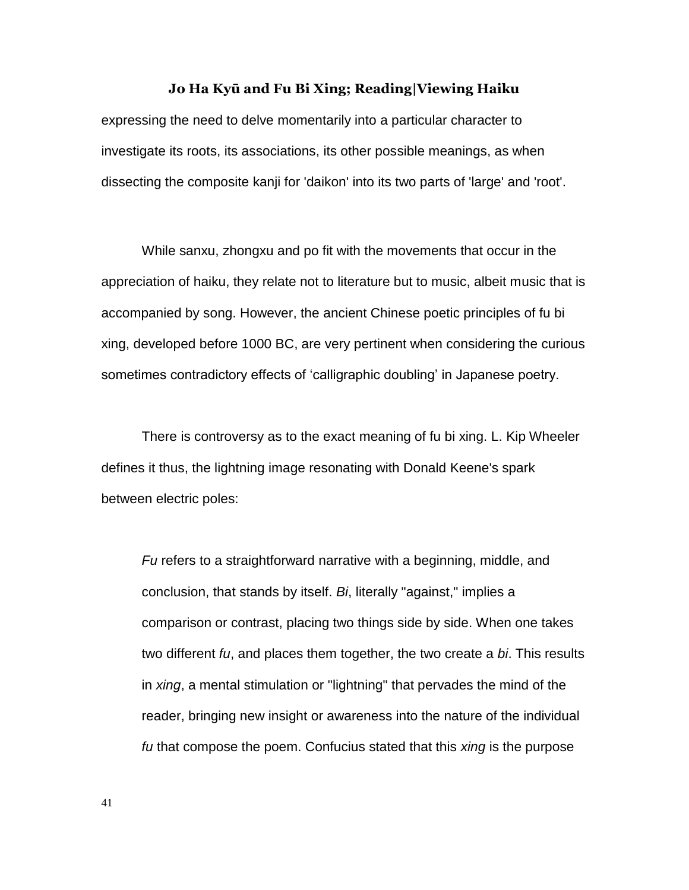expressing the need to delve momentarily into a particular character to investigate its roots, its associations, its other possible meanings, as when dissecting the composite kanji for 'daikon' into its two parts of 'large' and 'root'.

While sanxu, zhongxu and po fit with the movements that occur in the appreciation of haiku, they relate not to literature but to music, albeit music that is accompanied by song. However, the ancient Chinese poetic principles of fu bi xing, developed before 1000 BC, are very pertinent when considering the curious sometimes contradictory effects of 'calligraphic doubling' in Japanese poetry.

There is controversy as to the exact meaning of fu bi xing. L. Kip Wheeler defines it thus, the lightning image resonating with Donald Keene's spark between electric poles:

*Fu* refers to a straightforward narrative with a beginning, middle, and conclusion, that stands by itself. *Bi*, literally "against," implies a comparison or contrast, placing two things side by side. When one takes two different *fu*, and places them together, the two create a *bi*. This results in *xing*, a mental stimulation or "lightning" that pervades the mind of the reader, bringing new insight or awareness into the nature of the individual *fu* that compose the poem. Confucius stated that this *xing* is the purpose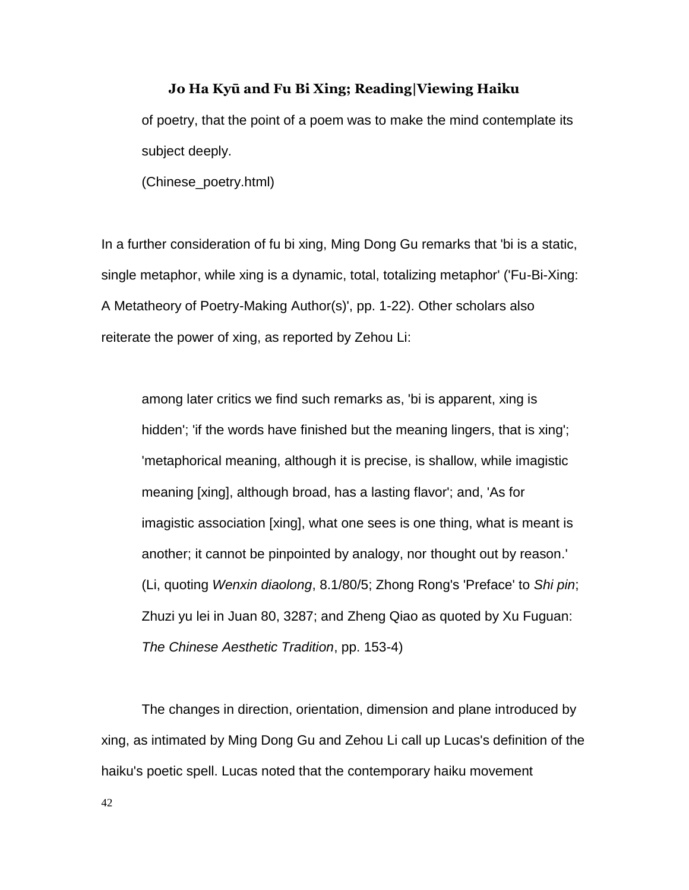of poetry, that the point of a poem was to make the mind contemplate its subject deeply.

(Chinese\_poetry.html)

In a further consideration of fu bi xing, Ming Dong Gu remarks that 'bi is a static, single metaphor, while xing is a dynamic, total, totalizing metaphor' ('Fu-Bi-Xing: A Metatheory of Poetry-Making Author(s)', pp. 1-22). Other scholars also reiterate the power of xing, as reported by Zehou Li:

among later critics we find such remarks as, 'bi is apparent, xing is hidden'; 'if the words have finished but the meaning lingers, that is xing'; 'metaphorical meaning, although it is precise, is shallow, while imagistic meaning [xing], although broad, has a lasting flavor'; and, 'As for imagistic association [xing], what one sees is one thing, what is meant is another; it cannot be pinpointed by analogy, nor thought out by reason.' (Li, quoting *Wenxin diaolong*, 8.1/80/5; Zhong Rong's 'Preface' to *Shi pin*; Zhuzi yu lei in Juan 80, 3287; and Zheng Qiao as quoted by Xu Fuguan: *The Chinese Aesthetic Tradition*, pp. 153-4)

The changes in direction, orientation, dimension and plane introduced by xing, as intimated by Ming Dong Gu and Zehou Li call up Lucas's definition of the haiku's poetic spell. Lucas noted that the contemporary haiku movement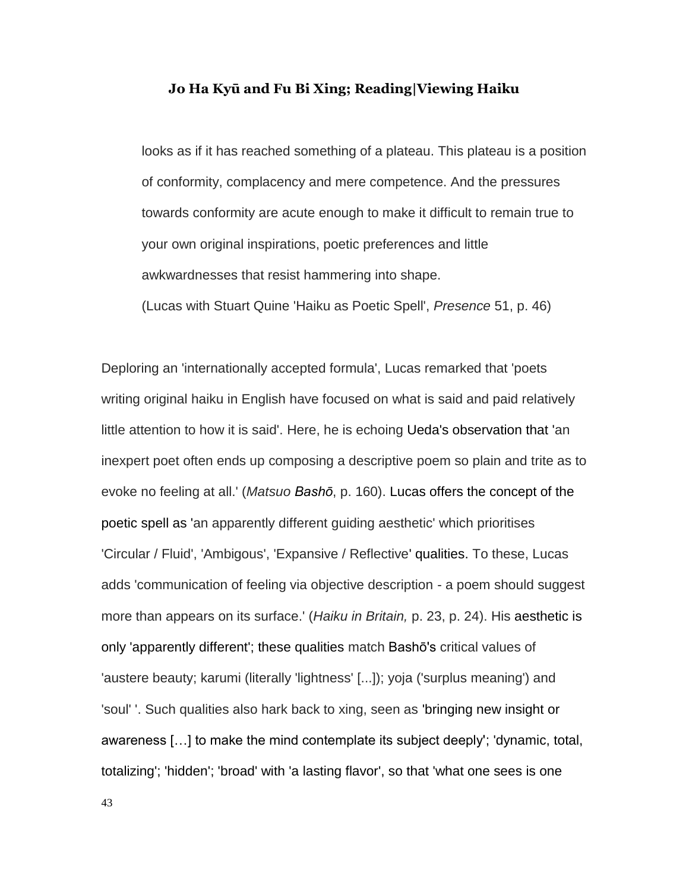looks as if it has reached something of a plateau. This plateau is a position of conformity, complacency and mere competence. And the pressures towards conformity are acute enough to make it difficult to remain true to your own original inspirations, poetic preferences and little awkwardnesses that resist hammering into shape. (Lucas with Stuart Quine 'Haiku as Poetic Spell', *Presence* 51, p. 46)

Deploring an 'internationally accepted formula', Lucas remarked that 'poets writing original haiku in English have focused on what is said and paid relatively little attention to how it is said'. Here, he is echoing Ueda's observation that 'an inexpert poet often ends up composing a descriptive poem so plain and trite as to evoke no feeling at all.' (*Matsuo Bashō*, p. 160). Lucas offers the concept of the poetic spell as 'an apparently different guiding aesthetic' which prioritises 'Circular / Fluid', 'Ambigous', 'Expansive / Reflective' qualities. To these, Lucas adds 'communication of feeling via objective description - a poem should suggest more than appears on its surface.' (*Haiku in Britain,* p. 23, p. 24). His aesthetic is only 'apparently different'; these qualities match Bashō's critical values of 'austere beauty; karumi (literally 'lightness' [...]); yoja ('surplus meaning') and 'soul' '. Such qualities also hark back to xing, seen as 'bringing new insight or awareness […] to make the mind contemplate its subject deeply'; 'dynamic, total, totalizing'; 'hidden'; 'broad' with 'a lasting flavor', so that 'what one sees is one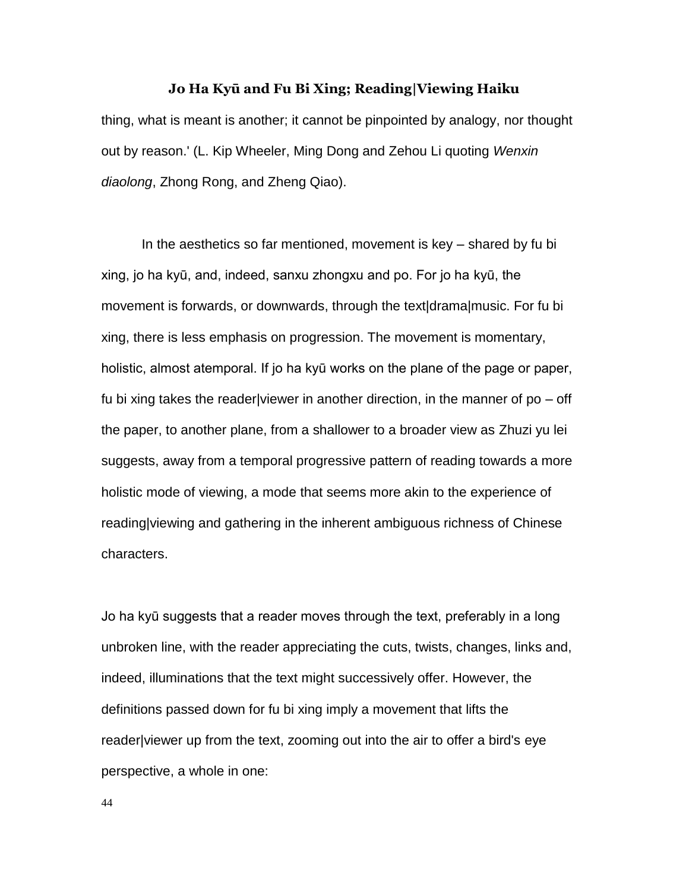thing, what is meant is another; it cannot be pinpointed by analogy, nor thought out by reason.' (L. Kip Wheeler, Ming Dong and Zehou Li quoting *Wenxin diaolong*, Zhong Rong, and Zheng Qiao).

In the aesthetics so far mentioned, movement is key – shared by fu bi xing, jo ha kyū, and, indeed, sanxu zhongxu and po. For jo ha kyū, the movement is forwards, or downwards, through the text|drama|music. For fu bi xing, there is less emphasis on progression. The movement is momentary, holistic, almost atemporal. If jo ha kyū works on the plane of the page or paper, fu bi xing takes the reader|viewer in another direction, in the manner of po – off the paper, to another plane, from a shallower to a broader view as Zhuzi yu lei suggests, away from a temporal progressive pattern of reading towards a more holistic mode of viewing, a mode that seems more akin to the experience of reading|viewing and gathering in the inherent ambiguous richness of Chinese characters.

Jo ha kyū suggests that a reader moves through the text, preferably in a long unbroken line, with the reader appreciating the cuts, twists, changes, links and, indeed, illuminations that the text might successively offer. However, the definitions passed down for fu bi xing imply a movement that lifts the reader|viewer up from the text, zooming out into the air to offer a bird's eye perspective, a whole in one: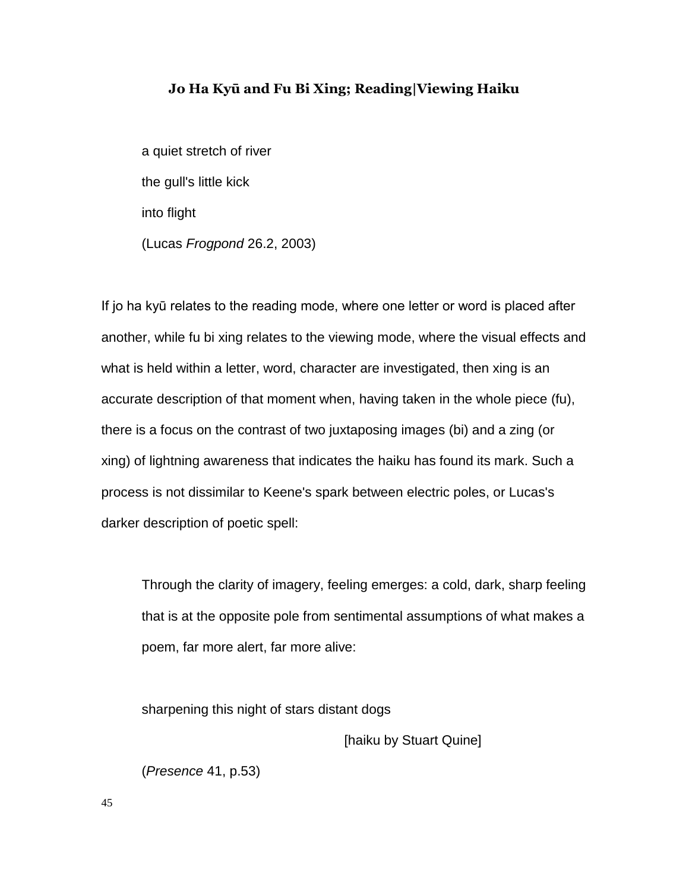a quiet stretch of river the gull's little kick into flight (Lucas *Frogpond* 26.2, 2003)

If jo ha kyū relates to the reading mode, where one letter or word is placed after another, while fu bi xing relates to the viewing mode, where the visual effects and what is held within a letter, word, character are investigated, then xing is an accurate description of that moment when, having taken in the whole piece (fu), there is a focus on the contrast of two juxtaposing images (bi) and a zing (or xing) of lightning awareness that indicates the haiku has found its mark. Such a process is not dissimilar to Keene's spark between electric poles, or Lucas's darker description of poetic spell:

Through the clarity of imagery, feeling emerges: a cold, dark, sharp feeling that is at the opposite pole from sentimental assumptions of what makes a poem, far more alert, far more alive:

sharpening this night of stars distant dogs

[haiku by Stuart Quine]

(*Presence* 41, p.53)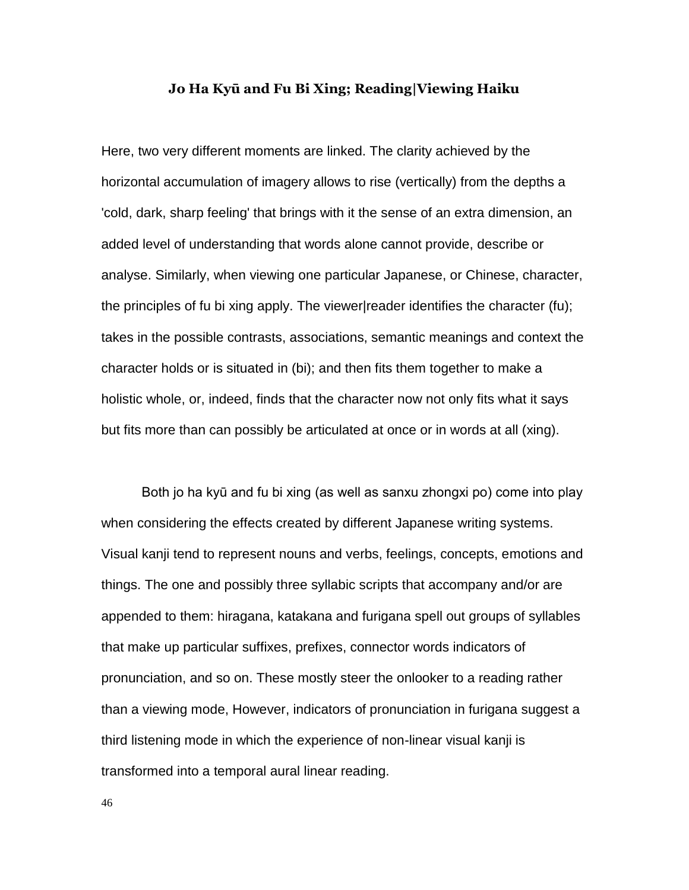Here, two very different moments are linked. The clarity achieved by the horizontal accumulation of imagery allows to rise (vertically) from the depths a 'cold, dark, sharp feeling' that brings with it the sense of an extra dimension, an added level of understanding that words alone cannot provide, describe or analyse. Similarly, when viewing one particular Japanese, or Chinese, character, the principles of fu bi xing apply. The viewer|reader identifies the character (fu); takes in the possible contrasts, associations, semantic meanings and context the character holds or is situated in (bi); and then fits them together to make a holistic whole, or, indeed, finds that the character now not only fits what it says but fits more than can possibly be articulated at once or in words at all (xing).

Both jo ha kyū and fu bi xing (as well as sanxu zhongxi po) come into play when considering the effects created by different Japanese writing systems. Visual kanji tend to represent nouns and verbs, feelings, concepts, emotions and things. The one and possibly three syllabic scripts that accompany and/or are appended to them: hiragana, katakana and furigana spell out groups of syllables that make up particular suffixes, prefixes, connector words indicators of pronunciation, and so on. These mostly steer the onlooker to a reading rather than a viewing mode, However, indicators of pronunciation in furigana suggest a third listening mode in which the experience of non-linear visual kanji is transformed into a temporal aural linear reading.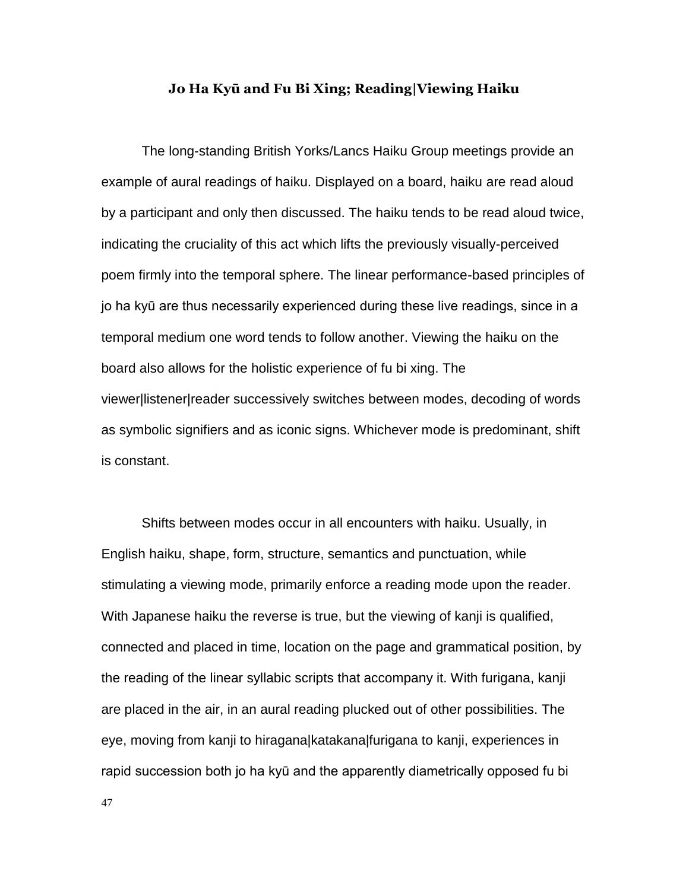The long-standing British Yorks/Lancs Haiku Group meetings provide an example of aural readings of haiku. Displayed on a board, haiku are read aloud by a participant and only then discussed. The haiku tends to be read aloud twice, indicating the cruciality of this act which lifts the previously visually-perceived poem firmly into the temporal sphere. The linear performance-based principles of jo ha kyū are thus necessarily experienced during these live readings, since in a temporal medium one word tends to follow another. Viewing the haiku on the board also allows for the holistic experience of fu bi xing. The viewer|listener|reader successively switches between modes, decoding of words as symbolic signifiers and as iconic signs. Whichever mode is predominant, shift is constant.

Shifts between modes occur in all encounters with haiku. Usually, in English haiku, shape, form, structure, semantics and punctuation, while stimulating a viewing mode, primarily enforce a reading mode upon the reader. With Japanese haiku the reverse is true, but the viewing of kanji is qualified, connected and placed in time, location on the page and grammatical position, by the reading of the linear syllabic scripts that accompany it. With furigana, kanji are placed in the air, in an aural reading plucked out of other possibilities. The eye, moving from kanji to hiragana|katakana|furigana to kanji, experiences in rapid succession both jo ha kyū and the apparently diametrically opposed fu bi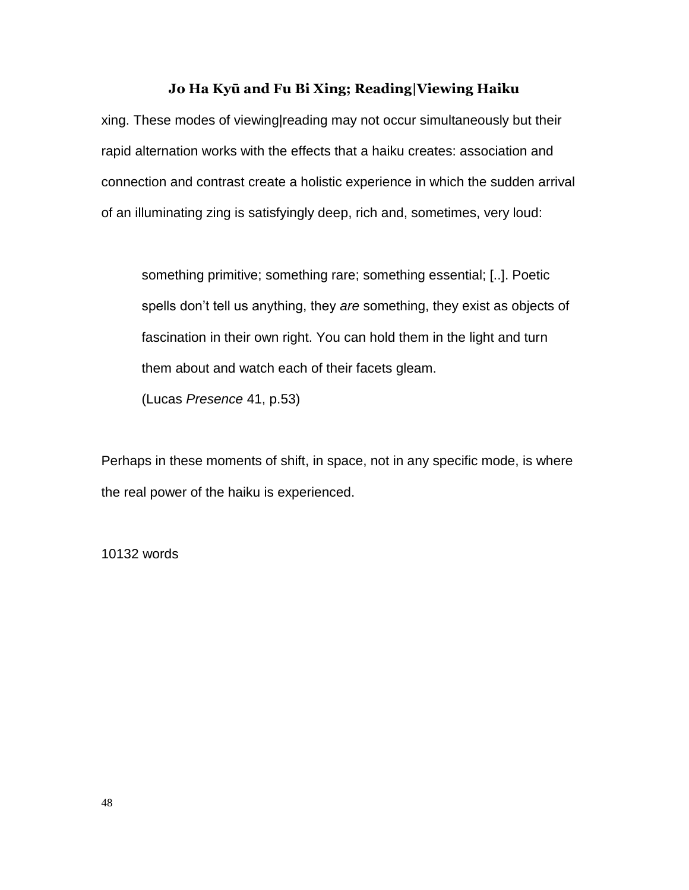xing. These modes of viewing|reading may not occur simultaneously but their rapid alternation works with the effects that a haiku creates: association and connection and contrast create a holistic experience in which the sudden arrival of an illuminating zing is satisfyingly deep, rich and, sometimes, very loud:

something primitive; something rare; something essential; [..]. Poetic spells don't tell us anything, they *are* something, they exist as objects of fascination in their own right. You can hold them in the light and turn them about and watch each of their facets gleam.

(Lucas *Presence* 41, p.53)

Perhaps in these moments of shift, in space, not in any specific mode, is where the real power of the haiku is experienced.

10132 words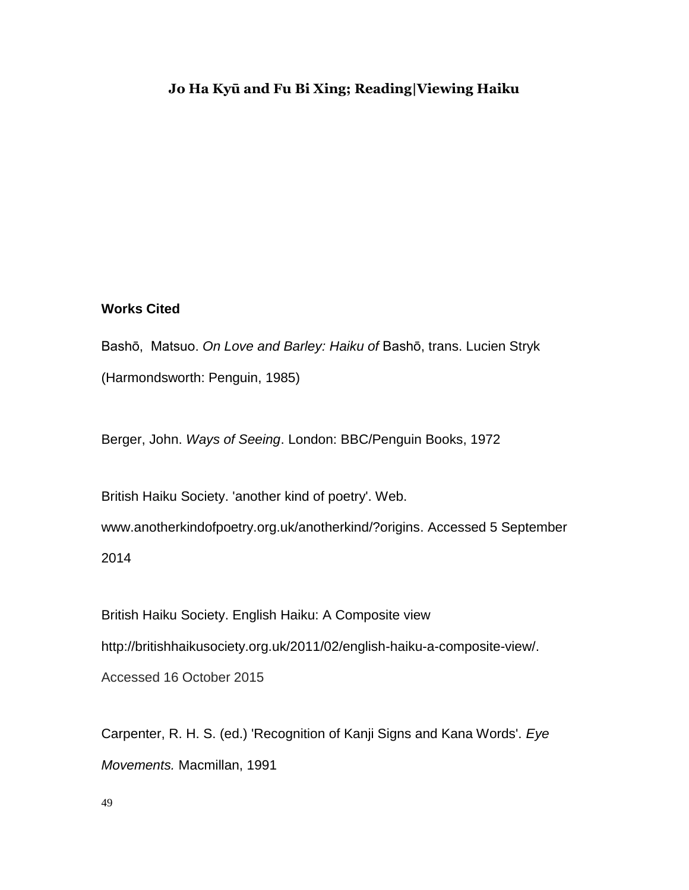# **Works Cited**

Bashō, Matsuo. *On Love and Barley: Haiku of* Bashō, trans. Lucien Stryk (Harmondsworth: Penguin, 1985)

Berger, John. *Ways of Seeing*. London: BBC/Penguin Books, 1972

British Haiku Society. 'another kind of poetry'. Web.

[www.anotherkindofpoetry.org.uk/anotherkind/?origins.](http://www.anotherkindofpoetry.org.uk/anotherkind/?origins) Accessed 5 September 2014

British Haiku Society. English Haiku: A Composite view [http://britishhaikusociety.org.uk/2011/02/english-haiku-a-composite-view/.](http://britishhaikusociety.org.uk/2011/02/english-haiku-a-composite-) Accessed 16 October 2015

Carpenter, R. H. S. (ed.) 'Recognition of Kanji Signs and Kana Words'. *Eye Movements.* Macmillan, 1991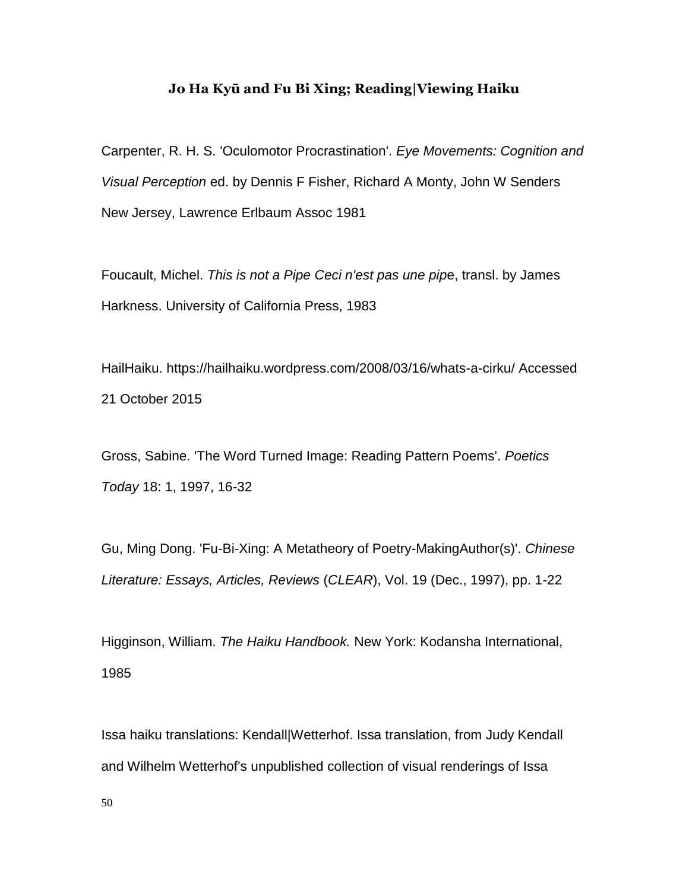Carpenter, R. H. S. 'Oculomotor Procrastination'. *Eye Movements: Cognition and Visual Perception* ed. by Dennis F Fisher, Richard A Monty, John W Senders New Jersey, Lawrence Erlbaum Assoc 1981

Foucault, Michel. *This is not a Pipe Ceci n'est pas une pip*e, transl. by James Harkness. University of California Press, 1983

HailHaiku.<https://hailhaiku.wordpress.com/2008/03/16/whats-a-cirku/> Accessed 21 October 2015

Gross, Sabine. 'The Word Turned Image: Reading Pattern Poems'. *Poetics Today* 18: 1, 1997, 16-32

Gu, Ming Dong. 'Fu-Bi-Xing: A Metatheory of Poetry-MakingAuthor(s)'. *Chinese Literature: Essays, Articles, Reviews* (*CLEAR*), Vol. 19 (Dec., 1997), pp. 1-22

Higginson, William. *The Haiku Handbook.* New York: Kodansha International, 1985

Issa haiku translations: Kendall|Wetterhof. Issa translation, from Judy Kendall and Wilhelm Wetterhof's unpublished collection of visual renderings of Issa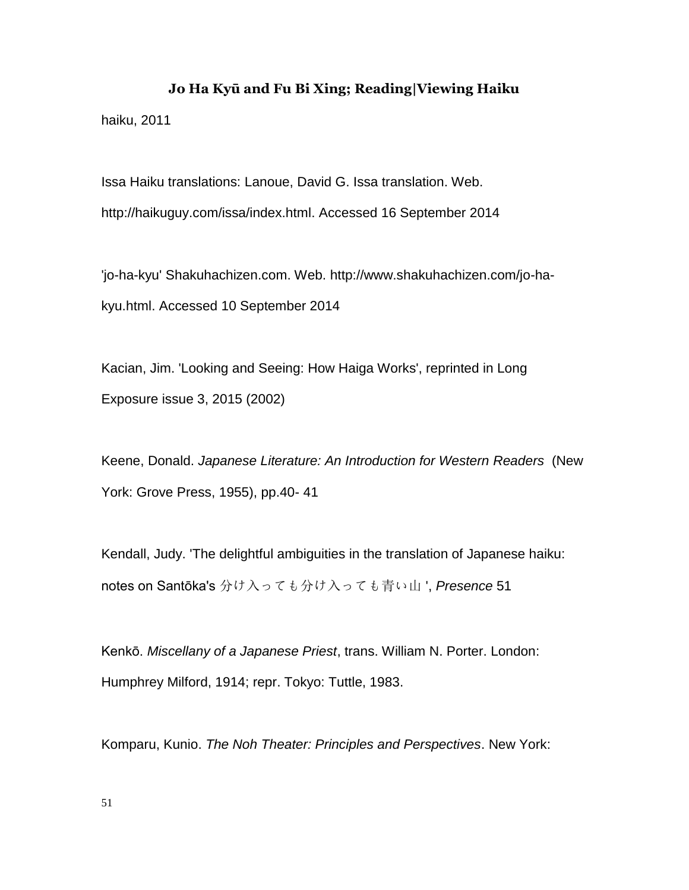haiku, 2011

Issa Haiku translations: Lanoue, David G. Issa translation. Web.

[http://haikuguy.com/issa/index.html.](http://haikuguy.com/issa/index.html) Accessed 16 September 2014

'jo-ha-kyu' Shakuhachizen.com. Web. [http://www.shakuhachizen.com/jo-ha](http://www.shakuhachizen.com/jo-ha-kyu.html)[kyu.html.](http://www.shakuhachizen.com/jo-ha-kyu.html) Accessed 10 September 2014

Kacian, Jim. 'Looking and Seeing: How Haiga Works', reprinted in Long Exposure issue 3, 2015 (2002)

Keene, Donald. *Japanese Literature: An Introduction for Western Readers* (New York: Grove Press, 1955), pp.40- 41

Kendall, Judy. 'The delightful ambiguities in the translation of Japanese haiku: notes on Santōka's 分け入っても分け入っても青い山 ', *Presence* 51

Kenkō. *Miscellany of a Japanese Priest*, trans. William N. Porter. London: Humphrey Milford, 1914; repr. Tokyo: Tuttle, 1983.

Komparu, Kunio. *The Noh Theater: Principles and Perspectives*. New York: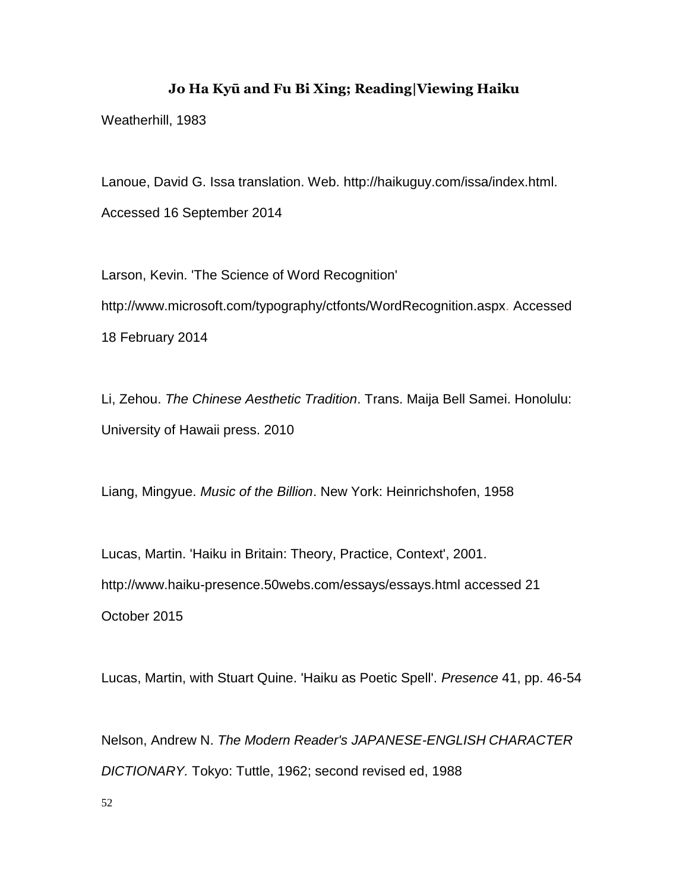Weatherhill, 1983

Lanoue, David G. Issa translation. Web. [http://haikuguy.com/issa/index.html.](http://haikuguy.com/issa/index.html) Accessed 16 September 2014

Larson, Kevin. 'The Science of Word Recognition' [http://www.microsoft.com/typography/ctfonts/WordRecognition.aspx.](http://www.microsoft.com/typography/ctfonts/WordRecognition.aspx) Accessed 18 February 2014

Li, Zehou. *The Chinese Aesthetic Tradition*. Trans. Maija Bell Samei. Honolulu: University of Hawaii press. 2010

Liang, Mingyue. *Music of the Billion*. New York: Heinrichshofen, 1958

Lucas, Martin. 'Haiku in Britain: Theory, Practice, Context', 2001. <http://www.haiku-presence.50webs.com/essays/essays.html> accessed 21 October 2015

Lucas, Martin, with Stuart Quine. 'Haiku as Poetic Spell'. *Presence* 41, pp. 46-54

Nelson, Andrew N. *The Modern Reader's JAPANESE-ENGLISH CHARACTER DICTIONARY.* Tokyo: Tuttle, 1962; second revised ed, 1988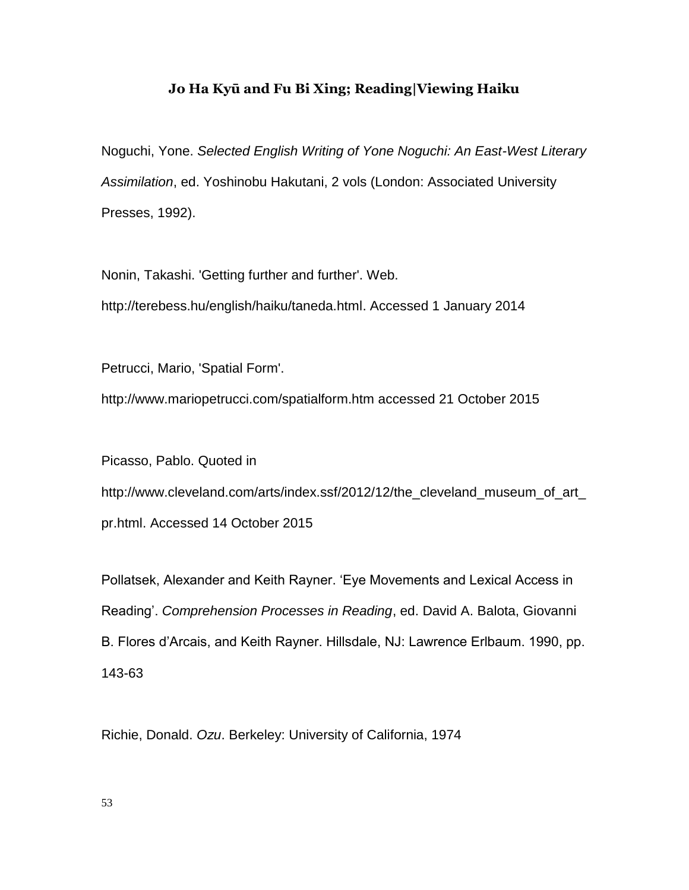Noguchi, Yone. *Selected English Writing of Yone Noguchi: An East-West Literary Assimilation*, ed. Yoshinobu Hakutani, 2 vols (London: Associated University Presses, 1992).

Nonin, Takashi. 'Getting further and further'. Web. [http://terebess.hu/english/haiku/taneda.html.](http://terebess.hu/english/haiku/taneda.html) Accessed 1 January 2014

Petrucci, Mario, 'Spatial Form'.

<http://www.mariopetrucci.com/spatialform.htm> accessed 21 October 2015

Picasso, Pablo. Quoted in [http://www.cleveland.com/arts/index.ssf/2012/12/the\\_cleveland\\_museum\\_of\\_art\\_](http://www.cleveland.com/arts/index.ssf/2012/12/the_cleveland_museum_of_art_pr.html) [pr.html.](http://www.cleveland.com/arts/index.ssf/2012/12/the_cleveland_museum_of_art_pr.html) Accessed 14 October 2015

Pollatsek, Alexander and Keith Rayner. 'Eye Movements and Lexical Access in Reading'. *Comprehension Processes in Reading*, ed. David A. Balota, Giovanni B. Flores d'Arcais, and Keith Rayner. Hillsdale, NJ: Lawrence Erlbaum. 1990, pp. 143-63

Richie, Donald. *Ozu*. Berkeley: University of California, 1974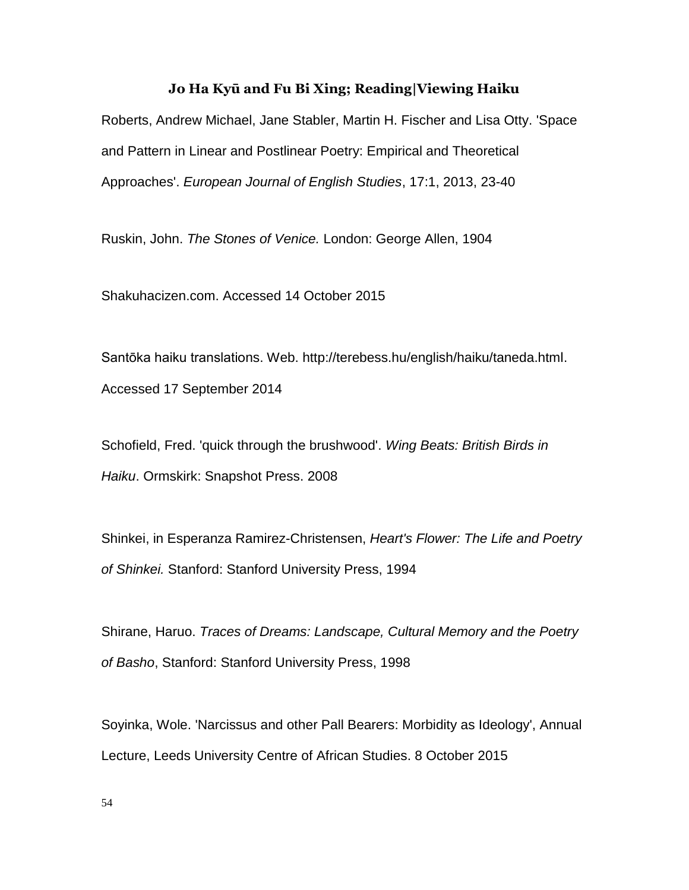Roberts, Andrew Michael, Jane Stabler, Martin H. Fischer and Lisa Otty. 'Space and Pattern in Linear and Postlinear Poetry: Empirical and Theoretical Approaches'. *European Journal of English Studies*, 17:1, 2013, 23-40

Ruskin, John. *The Stones of Venice.* London: George Allen, 1904

Shakuhacizen.com. Accessed 14 October 2015

Santōka haiku translations. Web. [http://terebess.hu/english/haiku/taneda.html.](http://terebess.hu/english/haiku/taneda.html) Accessed 17 September 2014

Schofield, Fred. 'quick through the brushwood'. *Wing Beats: British Birds in Haiku*. Ormskirk: Snapshot Press. 2008

Shinkei, in Esperanza Ramirez-Christensen, *Heart's Flower: The Life and Poetry of Shinkei.* Stanford: Stanford University Press, 1994

Shirane, Haruo. *Traces of Dreams: Landscape, Cultural Memory and the Poetry of Basho*, Stanford: Stanford University Press, 1998

Soyinka, Wole. 'Narcissus and other Pall Bearers: Morbidity as Ideology', Annual Lecture, Leeds University Centre of African Studies. 8 October 2015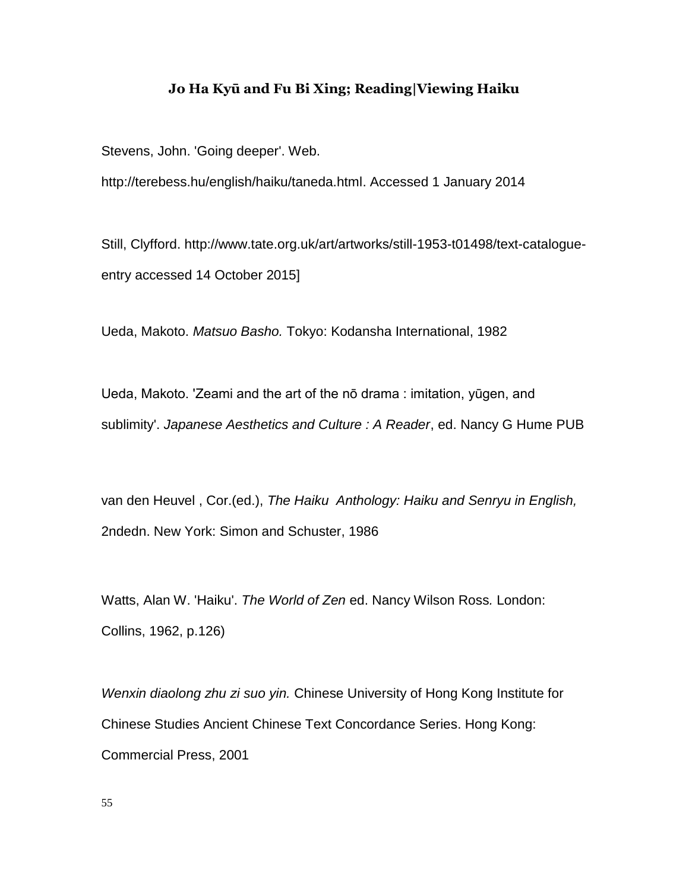Stevens, John. 'Going deeper'. Web.

[http://terebess.hu/english/haiku/taneda.html.](http://terebess.hu/english/haiku/taneda.html) Accessed 1 January 2014

Still, Clyfford. [http://www.tate.org.uk/art/artworks/still-1953-t01498/text-catalogue](http://www.tate.org.uk/art/artworks/still-1953-t01498/text-catalogue-entry)[entry](http://www.tate.org.uk/art/artworks/still-1953-t01498/text-catalogue-entry) accessed 14 October 2015]

Ueda, Makoto. *Matsuo Basho.* Tokyo: Kodansha International, 1982

Ueda, Makoto. 'Zeami and the art of the nō drama : imitation, yūgen, and sublimity'. *Japanese Aesthetics and Culture : A Reader*, ed. Nancy G Hume PUB

van den Heuvel , Cor.(ed.), *The Haiku Anthology: Haiku and Senryu in English,*  2ndedn. New York: Simon and Schuster, 1986

Watts, Alan W. 'Haiku'. *The World of Zen* ed. Nancy Wilson Ross*.* London: Collins, 1962, p.126)

*Wenxin diaolong zhu zi suo yin.* Chinese University of Hong Kong Institute for Chinese Studies Ancient Chinese Text Concordance Series. Hong Kong: Commercial Press, 2001